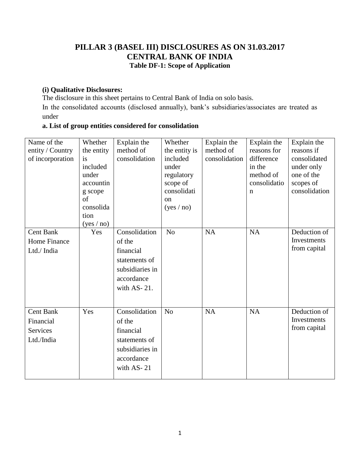#### **PILLAR 3 (BASEL III) DISCLOSURES AS ON 31.03.2017 CENTRAL BANK OF INDIA Table DF-1: Scope of Application**

#### **(i) Qualitative Disclosures:**

The disclosure in this sheet pertains to Central Bank of India on solo basis.

In the consolidated accounts (disclosed annually), bank"s subsidiaries/associates are treated as under

#### **a. List of group entities considered for consolidation**

| Name of the<br>entity / Country<br>of incorporation            | Whether<br>the entity<br>is<br>included<br>under<br>accountin<br>g scope<br>of<br>consolida<br>tion | Explain the<br>method of<br>consolidation                                                             | Whether<br>the entity is<br>included<br>under<br>regulatory<br>scope of<br>consolidati<br><sub>on</sub><br>(yes / no) | Explain the<br>method of<br>consolidation | Explain the<br>reasons for<br>difference<br>in the<br>method of<br>consolidatio<br>$\mathbf n$ | Explain the<br>reasons if<br>consolidated<br>under only<br>one of the<br>scopes of<br>consolidation |
|----------------------------------------------------------------|-----------------------------------------------------------------------------------------------------|-------------------------------------------------------------------------------------------------------|-----------------------------------------------------------------------------------------------------------------------|-------------------------------------------|------------------------------------------------------------------------------------------------|-----------------------------------------------------------------------------------------------------|
| <b>Cent Bank</b><br>Home Finance<br>Ltd./ India                | (yes / no)<br>Yes                                                                                   | Consolidation<br>of the<br>financial<br>statements of<br>subsidiaries in<br>accordance<br>with AS-21. | N <sub>o</sub>                                                                                                        | <b>NA</b>                                 | <b>NA</b>                                                                                      | Deduction of<br>Investments<br>from capital                                                         |
| <b>Cent Bank</b><br>Financial<br><b>Services</b><br>Ltd./India | Yes                                                                                                 | Consolidation<br>of the<br>financial<br>statements of<br>subsidiaries in<br>accordance<br>with AS-21  | N <sub>o</sub>                                                                                                        | NA                                        | <b>NA</b>                                                                                      | Deduction of<br>Investments<br>from capital                                                         |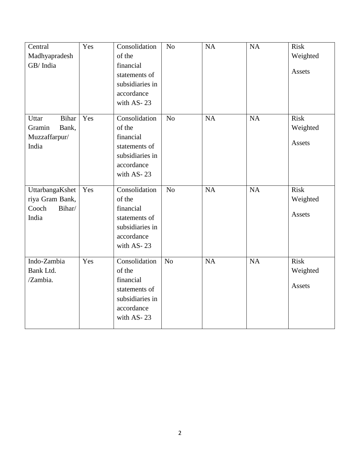| Central               | Yes | Consolidation   | $\rm No$       | NA | NA | <b>Risk</b> |
|-----------------------|-----|-----------------|----------------|----|----|-------------|
| Madhyapradesh         |     | of the          |                |    |    | Weighted    |
| GB/India              |     | financial       |                |    |    |             |
|                       |     | statements of   |                |    |    | Assets      |
|                       |     | subsidiaries in |                |    |    |             |
|                       |     | accordance      |                |    |    |             |
|                       |     | with AS-23      |                |    |    |             |
| <b>Bihar</b><br>Uttar | Yes | Consolidation   | N <sub>o</sub> | NA | NA | <b>Risk</b> |
| Gramin<br>Bank,       |     | of the          |                |    |    | Weighted    |
| Muzzaffarpur/         |     | financial       |                |    |    |             |
| India                 |     | statements of   |                |    |    | Assets      |
|                       |     | subsidiaries in |                |    |    |             |
|                       |     | accordance      |                |    |    |             |
|                       |     | with AS-23      |                |    |    |             |
| UttarbangaKshet       | Yes | Consolidation   | N <sub>o</sub> | NA | NA | <b>Risk</b> |
| riya Gram Bank,       |     | of the          |                |    |    | Weighted    |
| Cooch<br>Bihar/       |     | financial       |                |    |    |             |
| India                 |     | statements of   |                |    |    | Assets      |
|                       |     | subsidiaries in |                |    |    |             |
|                       |     | accordance      |                |    |    |             |
|                       |     | with AS-23      |                |    |    |             |
| Indo-Zambia           | Yes | Consolidation   | N <sub>o</sub> | NA | NA | <b>Risk</b> |
| Bank Ltd.             |     | of the          |                |    |    |             |
| /Zambia.              |     | financial       |                |    |    | Weighted    |
|                       |     | statements of   |                |    |    | Assets      |
|                       |     | subsidiaries in |                |    |    |             |
|                       |     | accordance      |                |    |    |             |
|                       |     | with AS-23      |                |    |    |             |
|                       |     |                 |                |    |    |             |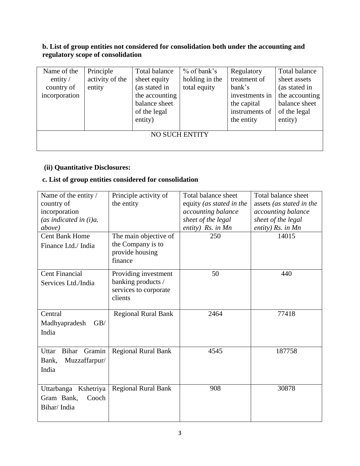#### **b. List of group entities not considered for consolidation both under the accounting and regulatory scope of consolidation**

| Name of the<br>entity $\sqrt{ }$<br>country of<br>incorporation | Principle<br>activity of the<br>entity | Total balance<br>sheet equity<br>(as stated in<br>the accounting<br>balance sheet | $%$ of bank's<br>holding in the<br>total equity | Regulatory<br>treatment of<br>bank's<br>investments in<br>the capital | Total balance<br>sheet assets<br>(as stated in<br>the accounting<br>balance sheet |
|-----------------------------------------------------------------|----------------------------------------|-----------------------------------------------------------------------------------|-------------------------------------------------|-----------------------------------------------------------------------|-----------------------------------------------------------------------------------|
|                                                                 |                                        | of the legal<br>entity)                                                           |                                                 | instruments of<br>the entity                                          | of the legal<br>entity)                                                           |
|                                                                 |                                        |                                                                                   |                                                 |                                                                       |                                                                                   |
|                                                                 |                                        |                                                                                   | <b>NO SUCH ENTITY</b>                           |                                                                       |                                                                                   |
|                                                                 |                                        |                                                                                   |                                                 |                                                                       |                                                                                   |

#### **(ii) Quantitative Disclosures:**

## **c. List of group entities considered for consolidation**

| Name of the entity /            | Principle activity of                                  | Total balance sheet      | Total balance sheet      |
|---------------------------------|--------------------------------------------------------|--------------------------|--------------------------|
| country of                      | the entity                                             | equity (as stated in the | assets (as stated in the |
| incorporation                   |                                                        | accounting balance       | accounting balance       |
| (as indicated in $(i)a$ .       |                                                        | sheet of the legal       | sheet of the legal       |
| above)                          |                                                        | entity) Rs. in Mn        | entity) Rs. in Mn        |
| <b>Cent Bank Home</b>           | The main objective of                                  | 250                      | 14015                    |
| Finance Ltd./ India             | the Company is to<br>provide housing<br>finance        |                          |                          |
| <b>Cent Financial</b>           | Providing investment                                   | 50                       | 440                      |
| Services Ltd./India             | banking products /<br>services to corporate<br>clients |                          |                          |
|                                 |                                                        |                          |                          |
| Central                         | <b>Regional Rural Bank</b>                             | 2464                     | 77418                    |
| GB/<br>Madhyapradesh            |                                                        |                          |                          |
| India                           |                                                        |                          |                          |
|                                 |                                                        |                          |                          |
| Gramin<br><b>Bihar</b><br>Uttar | <b>Regional Rural Bank</b>                             | 4545                     | 187758                   |
| Muzzaffarpur/<br>Bank,          |                                                        |                          |                          |
| India                           |                                                        |                          |                          |
|                                 |                                                        |                          |                          |
| Uttarbanga Kshetriya            | <b>Regional Rural Bank</b>                             | 908                      | 30878                    |
| Gram Bank,<br>Cooch             |                                                        |                          |                          |
| Bihar/India                     |                                                        |                          |                          |
|                                 |                                                        |                          |                          |
|                                 |                                                        |                          |                          |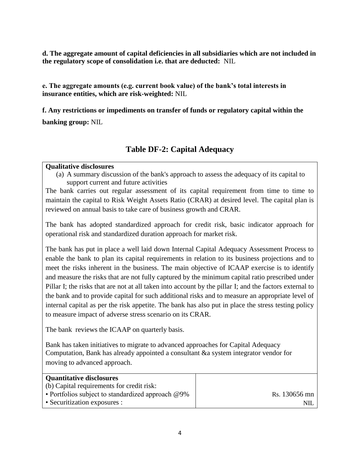**d. The aggregate amount of capital deficiencies in all subsidiaries which are not included in the regulatory scope of consolidation i.e. that are deducted:** NIL

**e. The aggregate amounts (e.g. current book value) of the bank's total interests in insurance entities, which are risk-weighted:** NIL

**f. Any restrictions or impediments on transfer of funds or regulatory capital within the banking group:** NIL

#### **Table DF-2: Capital Adequacy**

#### **Qualitative disclosures**

(a) A summary discussion of the bank's approach to assess the adequacy of its capital to support current and future activities

The bank carries out regular assessment of its capital requirement from time to time to maintain the capital to Risk Weight Assets Ratio (CRAR) at desired level. The capital plan is reviewed on annual basis to take care of business growth and CRAR.

The bank has adopted standardized approach for credit risk, basic indicator approach for operational risk and standardized duration approach for market risk.

The bank has put in place a well laid down Internal Capital Adequacy Assessment Process to enable the bank to plan its capital requirements in relation to its business projections and to meet the risks inherent in the business. The main objective of ICAAP exercise is to identify and measure the risks that are not fully captured by the minimum capital ratio prescribed under Pillar I; the risks that are not at all taken into account by the pillar I; and the factors external to the bank and to provide capital for such additional risks and to measure an appropriate level of internal capital as per the risk appetite. The bank has also put in place the stress testing policy to measure impact of adverse stress scenario on its CRAR.

The bank reviews the ICAAP on quarterly basis.

Bank has taken initiatives to migrate to advanced approaches for Capital Adequacy Computation, Bank has already appointed a consultant &a system integrator vendor for moving to advanced approach.

| <b>Quantitative disclosures</b>                      |               |
|------------------------------------------------------|---------------|
| (b) Capital requirements for credit risk:            |               |
| • Portfolios subject to standardized approach $@9\%$ | Rs. 130656 mn |
| • Securitization exposures :                         | NII           |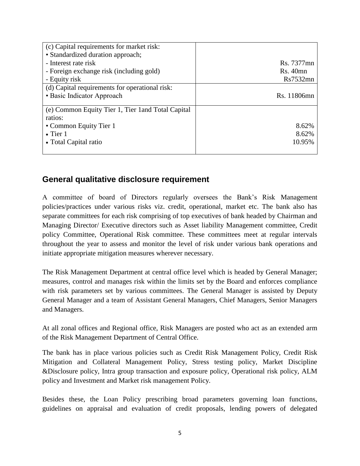| (c) Capital requirements for market risk:          |             |
|----------------------------------------------------|-------------|
| • Standardized duration approach;                  |             |
| - Interest rate risk                               | Rs. 7377mn  |
| - Foreign exchange risk (including gold)           | $Rs.40$ mn  |
| - Equity risk                                      | Rs7532mn    |
| (d) Capital requirements for operational risk:     |             |
| • Basic Indicator Approach                         | Rs. 11806mn |
|                                                    |             |
| (e) Common Equity Tier 1, Tier 1 and Total Capital |             |
| ratios:                                            |             |
| • Common Equity Tier 1                             | 8.62%       |
| $\bullet$ Tier 1                                   | 8.62%       |
| • Total Capital ratio                              | 10.95%      |
|                                                    |             |

### **General qualitative disclosure requirement**

A committee of board of Directors regularly oversees the Bank"s Risk Management policies/practices under various risks viz. credit, operational, market etc. The bank also has separate committees for each risk comprising of top executives of bank headed by Chairman and Managing Director/ Executive directors such as Asset liability Management committee, Credit policy Committee, Operational Risk committee. These committees meet at regular intervals throughout the year to assess and monitor the level of risk under various bank operations and initiate appropriate mitigation measures wherever necessary.

The Risk Management Department at central office level which is headed by General Manager; measures, control and manages risk within the limits set by the Board and enforces compliance with risk parameters set by various committees. The General Manager is assisted by Deputy General Manager and a team of Assistant General Managers, Chief Managers, Senior Managers and Managers.

At all zonal offices and Regional office, Risk Managers are posted who act as an extended arm of the Risk Management Department of Central Office.

The bank has in place various policies such as Credit Risk Management Policy, Credit Risk Mitigation and Collateral Management Policy, Stress testing policy, Market Discipline &Disclosure policy, Intra group transaction and exposure policy, Operational risk policy, ALM policy and Investment and Market risk management Policy.

Besides these, the Loan Policy prescribing broad parameters governing loan functions, guidelines on appraisal and evaluation of credit proposals, lending powers of delegated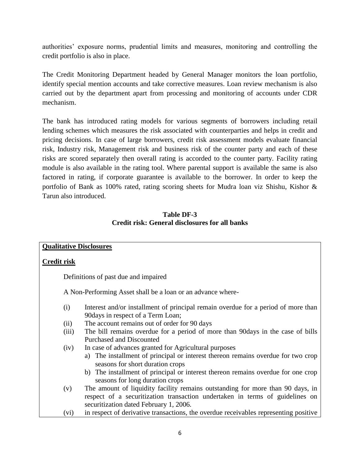authorities' exposure norms, prudential limits and measures, monitoring and controlling the credit portfolio is also in place.

The Credit Monitoring Department headed by General Manager monitors the loan portfolio, identify special mention accounts and take corrective measures. Loan review mechanism is also carried out by the department apart from processing and monitoring of accounts under CDR mechanism.

The bank has introduced rating models for various segments of borrowers including retail lending schemes which measures the risk associated with counterparties and helps in credit and pricing decisions. In case of large borrowers, credit risk assessment models evaluate financial risk, Industry risk, Management risk and business risk of the counter party and each of these risks are scored separately then overall rating is accorded to the counter party. Facility rating module is also available in the rating tool. Where parental support is available the same is also factored in rating, if corporate guarantee is available to the borrower. In order to keep the portfolio of Bank as 100% rated, rating scoring sheets for Mudra loan viz Shishu, Kishor & Tarun also introduced.

#### **Table DF-3 Credit risk: General disclosures for all banks**

|                    | <b>Qualitative Disclosures</b>                                                       |
|--------------------|--------------------------------------------------------------------------------------|
|                    |                                                                                      |
| <b>Credit risk</b> |                                                                                      |
|                    |                                                                                      |
|                    | Definitions of past due and impaired                                                 |
|                    | A Non-Performing Asset shall be a loan or an advance where-                          |
|                    |                                                                                      |
| (i)                | Interest and/or installment of principal remain overdue for a period of more than    |
|                    | 90 days in respect of a Term Loan;                                                   |
| (ii)               | The account remains out of order for 90 days                                         |
| (iii)              | The bill remains overdue for a period of more than 90 days in the case of bills      |
|                    | <b>Purchased and Discounted</b>                                                      |
| (iv)               | In case of advances granted for Agricultural purposes                                |
|                    | The installment of principal or interest thereon remains overdue for two crop<br>a)  |
|                    | seasons for short duration crops                                                     |
|                    | b) The installment of principal or interest thereon remains overdue for one crop     |
|                    | seasons for long duration crops                                                      |
| (v)                | The amount of liquidity facility remains outstanding for more than 90 days, in       |
|                    | respect of a securitization transaction undertaken in terms of guidelines on         |
|                    | securitization dated February 1, 2006.                                               |
| (vi)               | in respect of derivative transactions, the overdue receivables representing positive |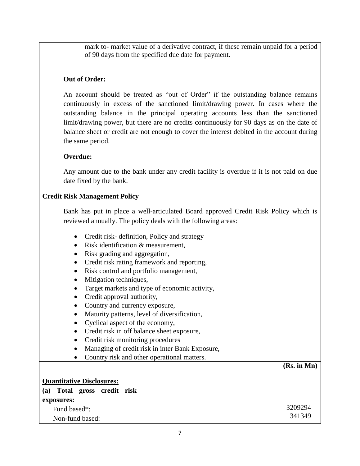mark to- market value of a derivative contract, if these remain unpaid for a period of 90 days from the specified due date for payment.

#### **Out of Order:**

 An account should be treated as "out of Order" if the outstanding balance remains continuously in excess of the sanctioned limit/drawing power. In cases where the outstanding balance in the principal operating accounts less than the sanctioned limit/drawing power, but there are no credits continuously for 90 days as on the date of balance sheet or credit are not enough to cover the interest debited in the account during the same period.

#### **Overdue:**

Any amount due to the bank under any credit facility is overdue if it is not paid on due date fixed by the bank.

#### **Credit Risk Management Policy**

Bank has put in place a well-articulated Board approved Credit Risk Policy which is reviewed annually. The policy deals with the following areas:

- Credit risk- definition, Policy and strategy
- Risk identification & measurement,
- Risk grading and aggregation,
- Credit risk rating framework and reporting,
- Risk control and portfolio management,
- Mitigation techniques,
- Target markets and type of economic activity,
- Credit approval authority,
- Country and currency exposure,
- Maturity patterns, level of diversification,
- Cyclical aspect of the economy,
- Credit risk in off balance sheet exposure,
- Credit risk monitoring procedures
- Managing of credit risk in inter Bank Exposure,
- Country risk and other operational matters.

#### **(Rs. in Mn)**

| <b>Quantitative Disclosures:</b> |  |
|----------------------------------|--|
| (a) Total gross credit risk      |  |
| exposures:                       |  |
| Fund based*:                     |  |
| Non-fund based:                  |  |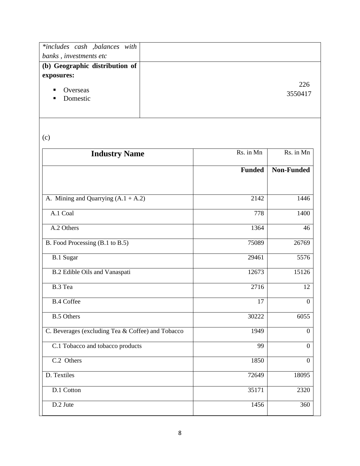| *includes cash , balances with |
|--------------------------------|
|                                |
| (b) Geographic distribution of |
|                                |
| 226                            |
| 3550417                        |
|                                |
|                                |

# (c)

| <b>Industry Name</b>                              | Rs. in Mn     | Rs. in Mn         |  |
|---------------------------------------------------|---------------|-------------------|--|
|                                                   | <b>Funded</b> | <b>Non-Funded</b> |  |
| A. Mining and Quarrying $(A.1 + A.2)$             | 2142          | 1446              |  |
| A.1 Coal                                          | 778           | 1400              |  |
| A.2 Others                                        | 1364          | 46                |  |
| B. Food Processing (B.1 to B.5)                   | 75089         | 26769             |  |
| <b>B.1 Sugar</b>                                  | 29461         | 5576              |  |
| <b>B.2</b> Edible Oils and Vanaspati              | 12673         | 15126             |  |
| B.3 Tea                                           | 2716          | 12                |  |
| <b>B.4 Coffee</b>                                 | 17            | $\overline{0}$    |  |
| <b>B.5 Others</b>                                 | 30222         | 6055              |  |
| C. Beverages (excluding Tea & Coffee) and Tobacco | 1949          | $\overline{0}$    |  |
| C.1 Tobacco and tobacco products                  | 99            | $\Omega$          |  |
| C.2 Others                                        | 1850          | $\overline{0}$    |  |
| D. Textiles                                       | 72649         | 18095             |  |
| D.1 Cotton                                        | 35171         | 2320              |  |
| D.2 Jute                                          | 1456          | 360               |  |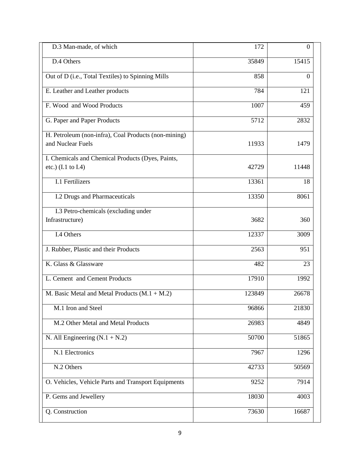| D.3 Man-made, of which                                                    | 172    | $\overline{0}$ |
|---------------------------------------------------------------------------|--------|----------------|
| D.4 Others                                                                | 35849  | 15415          |
| Out of D (i.e., Total Textiles) to Spinning Mills                         | 858    | $\Omega$       |
| E. Leather and Leather products                                           | 784    | 121            |
| F. Wood and Wood Products                                                 | 1007   | 459            |
| G. Paper and Paper Products                                               | 5712   | 2832           |
| H. Petroleum (non-infra), Coal Products (non-mining)<br>and Nuclear Fuels | 11933  | 1479           |
| I. Chemicals and Chemical Products (Dyes, Paints,<br>etc.) (I.1 to I.4)   | 42729  | 11448          |
| <b>I.1 Fertilizers</b>                                                    | 13361  | 18             |
| I.2 Drugs and Pharmaceuticals                                             | 13350  | 8061           |
| I.3 Petro-chemicals (excluding under<br>Infrastructure)                   | 3682   | 360            |
| I.4 Others                                                                | 12337  | 3009           |
| J. Rubber, Plastic and their Products                                     | 2563   | 951            |
| K. Glass & Glassware                                                      | 482    | 23             |
| L. Cement and Cement Products                                             | 17910  | 1992           |
| M. Basic Metal and Metal Products (M.1 + M.2)                             | 123849 | 26678          |
| M.1 Iron and Steel                                                        | 96866  | 21830          |
| M.2 Other Metal and Metal Products                                        | 26983  | 4849           |
| N. All Engineering $(N.1 + N.2)$                                          | 50700  | 51865          |
| N.1 Electronics                                                           | 7967   | 1296           |
| N.2 Others                                                                | 42733  | 50569          |
| O. Vehicles, Vehicle Parts and Transport Equipments                       | 9252   | 7914           |
| P. Gems and Jewellery                                                     | 18030  | 4003           |
| Q. Construction                                                           | 73630  | 16687          |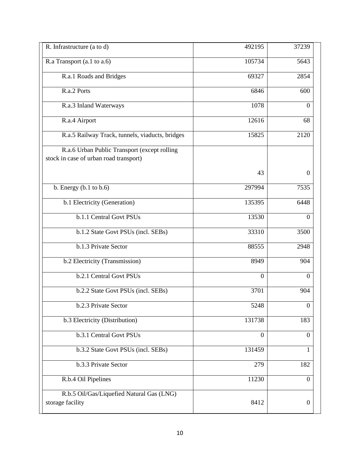| R. Infrastructure (a to d)                                                             | 492195         | 37239            |
|----------------------------------------------------------------------------------------|----------------|------------------|
| R.a Transport (a.1 to a.6)                                                             | 105734         | 5643             |
| R.a.1 Roads and Bridges                                                                | 69327          | 2854             |
| R.a.2 Ports                                                                            | 6846           | 600              |
| R.a.3 Inland Waterways                                                                 | 1078           | $\Omega$         |
| R.a.4 Airport                                                                          | 12616          | 68               |
| R.a.5 Railway Track, tunnels, viaducts, bridges                                        | 15825          | 2120             |
| R.a.6 Urban Public Transport (except rolling<br>stock in case of urban road transport) |                |                  |
|                                                                                        | 43             | $\Omega$         |
| b. Energy $(b.1$ to $b.6)$                                                             | 297994         | 7535             |
| b.1 Electricity (Generation)                                                           | 135395         | 6448             |
| b.1.1 Central Govt PSUs                                                                | 13530          | $\theta$         |
| b.1.2 State Govt PSUs (incl. SEBs)                                                     | 33310          | 3500             |
| b.1.3 Private Sector                                                                   | 88555          | 2948             |
| b.2 Electricity (Transmission)                                                         | 8949           | 904              |
| b.2.1 Central Govt PSUs                                                                | $\overline{0}$ | $\Omega$         |
| b.2.2 State Govt PSUs (incl. SEBs)                                                     | 3701           | 904              |
| b.2.3 Private Sector                                                                   | 5248           | $\mathbf{0}$     |
| b.3 Electricity (Distribution)                                                         | 131738         | 183              |
| b.3.1 Central Govt PSUs                                                                | $\overline{0}$ | $\boldsymbol{0}$ |
| b.3.2 State Govt PSUs (incl. SEBs)                                                     | 131459         | 1                |
| b.3.3 Private Sector                                                                   | 279            | 182              |
| R.b.4 Oil Pipelines                                                                    | 11230          | $\mathbf{0}$     |
| R.b.5 Oil/Gas/Liquefied Natural Gas (LNG)<br>storage facility                          | 8412           | $\boldsymbol{0}$ |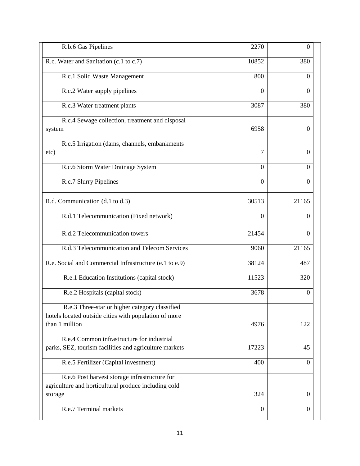| R.b.6 Gas Pipelines                                                                                                       | 2270           | $\theta$       |
|---------------------------------------------------------------------------------------------------------------------------|----------------|----------------|
| R.c. Water and Sanitation (c.1 to c.7)                                                                                    | 10852          | 380            |
| R.c.1 Solid Waste Management                                                                                              | 800            | $\Omega$       |
| R.c.2 Water supply pipelines                                                                                              | $\overline{0}$ | $\Omega$       |
| R.c.3 Water treatment plants                                                                                              | 3087           | 380            |
| R.c.4 Sewage collection, treatment and disposal<br>system                                                                 | 6958           | $\Omega$       |
| R.c.5 Irrigation (dams, channels, embankments<br>etc)                                                                     | 7              | $\Omega$       |
| R.c.6 Storm Water Drainage System                                                                                         | $\Omega$       | $\Omega$       |
| R.c.7 Slurry Pipelines                                                                                                    | $\overline{0}$ | $\Omega$       |
| R.d. Communication (d.1 to d.3)                                                                                           | 30513          | 21165          |
| R.d.1 Telecommunication (Fixed network)                                                                                   | $\theta$       | $\Omega$       |
| R.d.2 Telecommunication towers                                                                                            | 21454          | $\Omega$       |
| R.d.3 Telecommunication and Telecom Services                                                                              | 9060           | 21165          |
| R.e. Social and Commercial Infrastructure (e.1 to e.9)                                                                    | 38124          | 487            |
| R.e.1 Education Institutions (capital stock)                                                                              | 11523          | 320            |
| R.e.2 Hospitals (capital stock)                                                                                           | 3678           | $\Omega$       |
| R.e.3 Three-star or higher category classified<br>hotels located outside cities with population of more<br>than 1 million | 4976           | 122            |
| R.e.4 Common infrastructure for industrial<br>parks, SEZ, tourism facilities and agriculture markets                      | 17223          | 45             |
| R.e.5 Fertilizer (Capital investment)                                                                                     | 400            | $\Omega$       |
| R.e.6 Post harvest storage infrastructure for<br>agriculture and horticultural produce including cold<br>storage          | 324            | $\theta$       |
| R.e.7 Terminal markets                                                                                                    | $\overline{0}$ | $\overline{0}$ |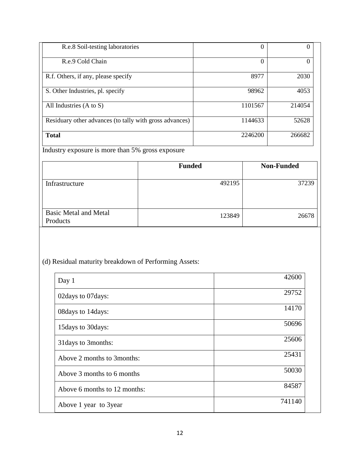| R.e.8 Soil-testing laboratories                         | 0        | U      |
|---------------------------------------------------------|----------|--------|
| R.e.9 Cold Chain                                        | $\theta$ | 0      |
| R.f. Others, if any, please specify                     | 8977     | 2030   |
| S. Other Industries, pl. specify                        | 98962    | 4053   |
| All Industries (A to S)                                 | 1101567  | 214054 |
| Residuary other advances (to tally with gross advances) | 1144633  | 52628  |
| <b>Total</b>                                            | 2246200  | 266682 |

Industry exposure is more than 5% gross exposure

|                                          | <b>Funded</b> | <b>Non-Funded</b> |
|------------------------------------------|---------------|-------------------|
| Infrastructure                           | 492195        | 37239             |
| <b>Basic Metal and Metal</b><br>Products | 123849        | 26678             |

## (d) Residual maturity breakdown of Performing Assets:

| Day 1                        | 42600  |
|------------------------------|--------|
| 02days to 07days:            | 29752  |
| 08 days to 14 days:          | 14170  |
| 15 days to 30 days:          | 50696  |
| 31 days to 3 months:         | 25606  |
| Above 2 months to 3 months:  | 25431  |
| Above 3 months to 6 months   | 50030  |
| Above 6 months to 12 months: | 84587  |
| Above 1 year to 3 year       | 741140 |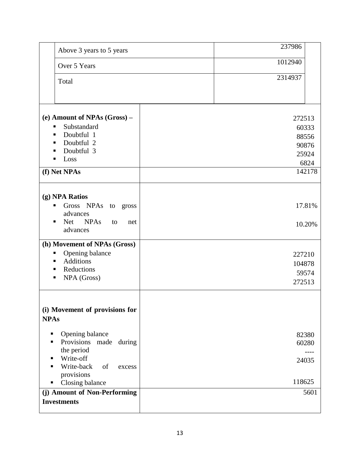| Above 3 years to 5 years                                                                                             | 237986                              |
|----------------------------------------------------------------------------------------------------------------------|-------------------------------------|
| Over 5 Years                                                                                                         | 1012940                             |
| Total                                                                                                                | 2314937                             |
| (e) Amount of NPAs (Gross) -<br>Substandard<br>٠<br>Doubtful 1<br>٠                                                  | 272513<br>60333<br>88556            |
| Doubtful 2<br>п<br>Doubtful 3<br>Loss                                                                                | 90876<br>25924<br>6824              |
| (f) Net NPAs                                                                                                         | 142178                              |
| (g) NPA Ratios<br>Gross NPAs to gross<br>п<br>advances<br>Net NPAs<br>to<br>net<br>advances                          | 17.81%<br>10.20%                    |
| (h) Movement of NPAs (Gross)<br>Opening balance<br>Е<br><b>Additions</b><br>п<br>Reductions<br>п<br>NPA (Gross)<br>п | 227210<br>104878<br>59574<br>272513 |
| (i) Movement of provisions for<br><b>NPAs</b>                                                                        |                                     |
| Opening balance<br>п<br>Provisions<br>made<br>during<br>п<br>the period                                              | 82380<br>60280                      |
| Write-off<br>Write-back<br>of<br>excess<br>п<br>provisions<br>Closing balance                                        | 24035<br>118625                     |
| (j) Amount of Non-Performing<br><b>Investments</b>                                                                   | 5601                                |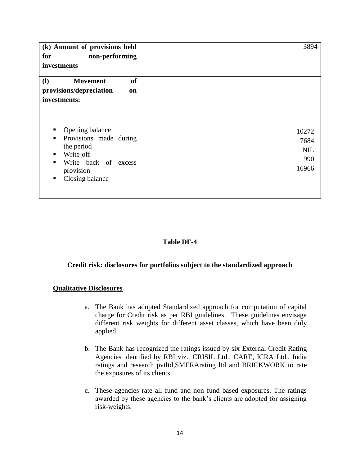| (k) Amount of provisions held<br>non-performing<br>for                                                                                                         | 3894                                        |
|----------------------------------------------------------------------------------------------------------------------------------------------------------------|---------------------------------------------|
| investments                                                                                                                                                    |                                             |
| <b>of</b><br><b>Movement</b><br><b>(I)</b>                                                                                                                     |                                             |
| provisions/depreciation<br>on                                                                                                                                  |                                             |
| investments:                                                                                                                                                   |                                             |
| Opening balance<br>Provisions made during<br>٠<br>the period<br>Write-off<br>$\blacksquare$<br>Write back of excess<br>٠<br>provision<br>Closing balance<br>п. | 10272<br>7684<br><b>NIL</b><br>990<br>16966 |

#### **Table DF-4**

#### **Credit risk: disclosures for portfolios subject to the standardized approach**

#### **Qualitative Disclosures**

- a. The Bank has adopted Standardized approach for computation of capital charge for Credit risk as per RBI guidelines. These guidelines envisage different risk weights for different asset classes, which have been duly applied.
- b. The Bank has recognized the ratings issued by six External Credit Rating Agencies identified by RBI viz., CRISIL Ltd., CARE, ICRA Ltd., India ratings and research pvtltd,SMERArating ltd and BRICKWORK to rate the exposures of its clients.
- c. These agencies rate all fund and non fund based exposures. The ratings awarded by these agencies to the bank"s clients are adopted for assigning risk-weights.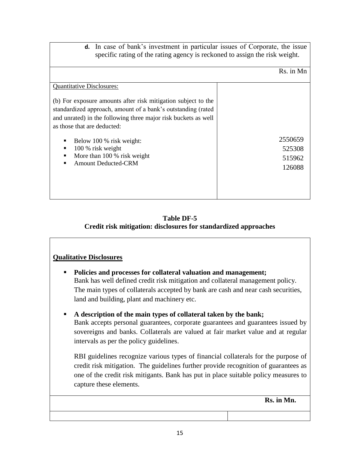**d.** In case of bank"s investment in particular issues of Corporate, the issue specific rating of the rating agency is reckoned to assign the risk weight.

Rs. in Mn

| <b>Quantitative Disclosures:</b>                                                                                                                                                                                               |                                       |
|--------------------------------------------------------------------------------------------------------------------------------------------------------------------------------------------------------------------------------|---------------------------------------|
| (b) For exposure amounts after risk mitigation subject to the<br>standardized approach, amount of a bank's outstanding (rated<br>and unrated) in the following three major risk buckets as well<br>as those that are deducted: |                                       |
| Below 100 % risk weight:<br>100 % risk weight<br>More than 100 % risk weight<br><b>Amount Deducted-CRM</b>                                                                                                                     | 2550659<br>525308<br>515962<br>126088 |

#### **Table DF-5 Credit risk mitigation: disclosures for standardized approaches**

#### **Qualitative Disclosures**

- **Policies and processes for collateral valuation and management;** Bank has well defined credit risk mitigation and collateral management policy. The main types of collaterals accepted by bank are cash and near cash securities, land and building, plant and machinery etc.
- **A description of the main types of collateral taken by the bank;** Bank accepts personal guarantees, corporate guarantees and guarantees issued by sovereigns and banks. Collaterals are valued at fair market value and at regular intervals as per the policy guidelines.

RBI guidelines recognize various types of financial collaterals for the purpose of credit risk mitigation. The guidelines further provide recognition of guarantees as one of the credit risk mitigants. Bank has put in place suitable policy measures to capture these elements.

 **Rs. in Mn.**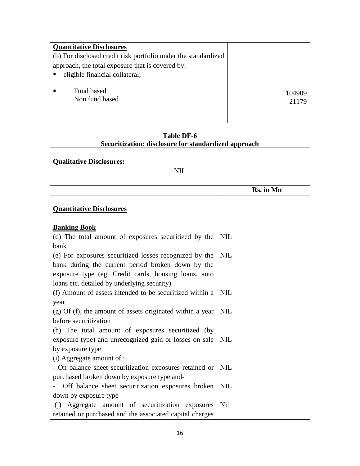| <b>Quantitative Disclosures</b>                                |                 |
|----------------------------------------------------------------|-----------------|
| (b) For disclosed credit risk portfolio under the standardized |                 |
| approach, the total exposure that is covered by:               |                 |
| eligible financial collateral;                                 |                 |
| Fund based<br>Non fund based                                   | 104909<br>21179 |

| Table DF-6                                           |
|------------------------------------------------------|
| Securitization: disclosure for standardized approach |

| <b>Qualitative Disclosures:</b><br><b>NIL</b>                                                                                                                                                                      |            |
|--------------------------------------------------------------------------------------------------------------------------------------------------------------------------------------------------------------------|------------|
|                                                                                                                                                                                                                    | Rs. in Mn  |
| <b>Quantitative Disclosures</b>                                                                                                                                                                                    |            |
| <b>Banking Book</b>                                                                                                                                                                                                |            |
| (d) The total amount of exposures securitized by the<br>bank                                                                                                                                                       | <b>NIL</b> |
| (e) For exposures securitized losses recognized by the<br>bank during the current period broken down by the<br>exposure type (eg. Credit cards, housing loans, auto<br>loans etc. detailed by underlying security) | <b>NIL</b> |
| (f) Amount of assets intended to be securitized within a                                                                                                                                                           | <b>NIL</b> |
| year<br>(g) Of (f), the amount of assets originated within a year                                                                                                                                                  | <b>NIL</b> |
| before securitization<br>(h) The total amount of exposures securitized (by                                                                                                                                         |            |
| exposure type) and unrecognized gain or losses on sale<br>by exposure type                                                                                                                                         | <b>NIL</b> |
| (i) Aggregate amount of :                                                                                                                                                                                          |            |
| - On balance sheet securitization exposures retained or<br>purchased broken down by exposure type and-                                                                                                             | <b>NIL</b> |
| Off balance sheet securitization exposures broken                                                                                                                                                                  | <b>NIL</b> |
| down by exposure type                                                                                                                                                                                              |            |
| (i) Aggregate amount of securitization exposures<br>retained or purchased and the associated capital charges                                                                                                       | <b>Nil</b> |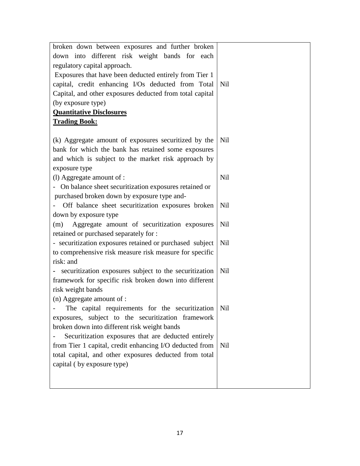| broken down between exposures and further broken         |     |
|----------------------------------------------------------|-----|
| down into different risk weight bands for each           |     |
| regulatory capital approach.                             |     |
| Exposures that have been deducted entirely from Tier 1   |     |
| capital, credit enhancing I/Os deducted from Total       | Nil |
| Capital, and other exposures deducted from total capital |     |
| (by exposure type)                                       |     |
| <b>Quantitative Disclosures</b>                          |     |
| <b>Trading Book:</b>                                     |     |
|                                                          |     |
| (k) Aggregate amount of exposures securitized by the     | Nil |
| bank for which the bank has retained some exposures      |     |
| and which is subject to the market risk approach by      |     |
| exposure type                                            |     |
| (l) Aggregate amount of :                                | Nil |
| - On balance sheet securitization exposures retained or  |     |
| purchased broken down by exposure type and-              |     |
| Off balance sheet securitization exposures broken        | Nil |
| down by exposure type                                    |     |
| Aggregate amount of securitization exposures<br>(m)      | Nil |
| retained or purchased separately for :                   |     |
| - securitization exposures retained or purchased subject | Nil |
| to comprehensive risk measure risk measure for specific  |     |
| risk: and                                                |     |
| - securitization exposures subject to the securitization | Nil |
| framework for specific risk broken down into different   |     |
| risk weight bands                                        |     |
| $(n)$ Aggregate amount of :                              |     |
| The capital requirements for the securitization          | Nil |
| exposures, subject to the securitization framework       |     |
| broken down into different risk weight bands             |     |
| Securitization exposures that are deducted entirely      |     |
| from Tier 1 capital, credit enhancing I/O deducted from  | Nil |
| total capital, and other exposures deducted from total   |     |
| capital (by exposure type)                               |     |
|                                                          |     |
|                                                          |     |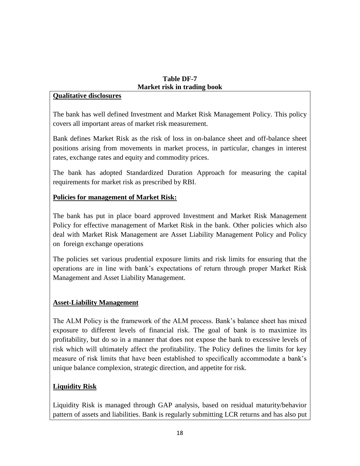#### **Table DF-7 Market risk in trading book**

#### **Qualitative disclosures**

The bank has well defined Investment and Market Risk Management Policy. This policy covers all important areas of market risk measurement.

Bank defines Market Risk as the risk of loss in on-balance sheet and off-balance sheet positions arising from movements in market process, in particular, changes in interest rates, exchange rates and equity and commodity prices.

The bank has adopted Standardized Duration Approach for measuring the capital requirements for market risk as prescribed by RBI.

#### **Policies for management of Market Risk:**

The bank has put in place board approved Investment and Market Risk Management Policy for effective management of Market Risk in the bank. Other policies which also deal with Market Risk Management are Asset Liability Management Policy and Policy on foreign exchange operations

The policies set various prudential exposure limits and risk limits for ensuring that the operations are in line with bank"s expectations of return through proper Market Risk Management and Asset Liability Management.

#### **Asset-Liability Management**

The ALM Policy is the framework of the ALM process. Bank"s balance sheet has mixed exposure to different levels of financial risk. The goal of bank is to maximize its profitability, but do so in a manner that does not expose the bank to excessive levels of risk which will ultimately affect the profitability. The Policy defines the limits for key measure of risk limits that have been established to specifically accommodate a bank"s unique balance complexion, strategic direction, and appetite for risk.

### **Liquidity Risk**

Liquidity Risk is managed through GAP analysis, based on residual maturity/behavior pattern of assets and liabilities. Bank is regularly submitting LCR returns and has also put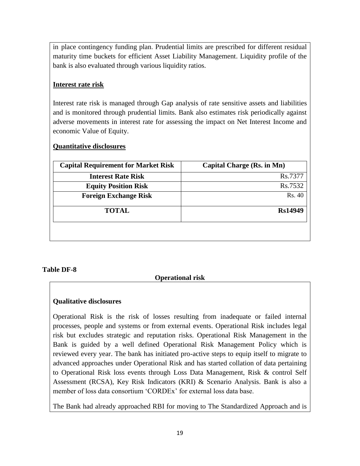in place contingency funding plan. Prudential limits are prescribed for different residual maturity time buckets for efficient Asset Liability Management. Liquidity profile of the bank is also evaluated through various liquidity ratios.

#### **Interest rate risk**

Interest rate risk is managed through Gap analysis of rate sensitive assets and liabilities and is monitored through prudential limits. Bank also estimates risk periodically against adverse movements in interest rate for assessing the impact on Net Interest Income and economic Value of Equity.

#### **Quantitative disclosures**

| <b>Capital Requirement for Market Risk</b> | Capital Charge (Rs. in Mn) |
|--------------------------------------------|----------------------------|
| <b>Interest Rate Risk</b>                  | Rs.7377                    |
| <b>Equity Position Risk</b>                | Rs.7532                    |
| <b>Foreign Exchange Risk</b>               | Rs. 40                     |
| <b>TOTAL</b>                               | Rs14949                    |
|                                            |                            |
|                                            |                            |

#### **Table DF-8**

#### **Operational risk**

#### **Qualitative disclosures**

Operational Risk is the risk of losses resulting from inadequate or failed internal processes, people and systems or from external events. Operational Risk includes legal risk but excludes strategic and reputation risks. Operational Risk Management in the Bank is guided by a well defined Operational Risk Management Policy which is reviewed every year. The bank has initiated pro-active steps to equip itself to migrate to advanced approaches under Operational Risk and has started collation of data pertaining to Operational Risk loss events through Loss Data Management, Risk & control Self Assessment (RCSA), Key Risk Indicators (KRI) & Scenario Analysis. Bank is also a member of loss data consortium 'CORDEx' for external loss data base.

The Bank had already approached RBI for moving to The Standardized Approach and is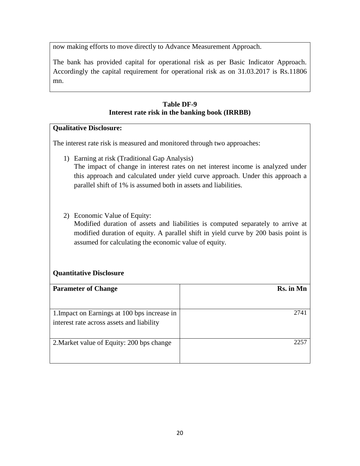now making efforts to move directly to Advance Measurement Approach.

The bank has provided capital for operational risk as per Basic Indicator Approach. Accordingly the capital requirement for operational risk as on 31.03.2017 is Rs.11806 mn.

#### **Table DF-9 Interest rate risk in the banking book (IRRBB)**

#### **Qualitative Disclosure:**

The interest rate risk is measured and monitored through two approaches:

- 1) Earning at risk (Traditional Gap Analysis) The impact of change in interest rates on net interest income is analyzed under this approach and calculated under yield curve approach. Under this approach a parallel shift of 1% is assumed both in assets and liabilities.
- 2) Economic Value of Equity:

Modified duration of assets and liabilities is computed separately to arrive at modified duration of equity. A parallel shift in yield curve by 200 basis point is assumed for calculating the economic value of equity.

#### **Quantitative Disclosure**

| <b>Parameter of Change</b>                   | Rs. in Mn |
|----------------------------------------------|-----------|
|                                              |           |
| 1. Impact on Earnings at 100 bps increase in | 274       |
| interest rate across assets and liability    |           |
|                                              |           |
| 2. Market value of Equity: 200 bps change    | 225       |
|                                              |           |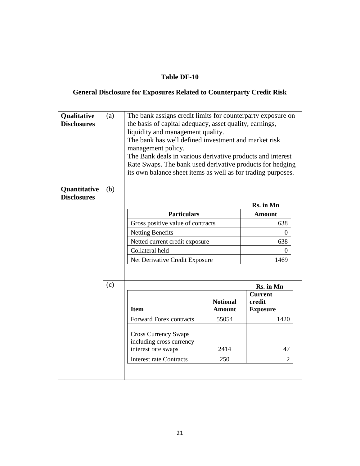#### **Table DF-10**

## **General Disclosure for Exposures Related to Counterparty Credit Risk**

| Qualitative<br><b>Disclosures</b>  | (a) | The bank assigns credit limits for counterparty exposure on<br>the basis of capital adequacy, asset quality, earnings,<br>liquidity and management quality.<br>The bank has well defined investment and market risk<br>management policy.<br>The Bank deals in various derivative products and interest<br>Rate Swaps. The bank used derivative products for hedging<br>its own balance sheet items as well as for trading purposes. |                                  |                                             |
|------------------------------------|-----|--------------------------------------------------------------------------------------------------------------------------------------------------------------------------------------------------------------------------------------------------------------------------------------------------------------------------------------------------------------------------------------------------------------------------------------|----------------------------------|---------------------------------------------|
| Quantitative<br><b>Disclosures</b> | (b) |                                                                                                                                                                                                                                                                                                                                                                                                                                      |                                  |                                             |
|                                    |     |                                                                                                                                                                                                                                                                                                                                                                                                                                      |                                  | Rs. in Mn                                   |
|                                    |     | <b>Particulars</b>                                                                                                                                                                                                                                                                                                                                                                                                                   |                                  | <b>Amount</b>                               |
|                                    |     | Gross positive value of contracts                                                                                                                                                                                                                                                                                                                                                                                                    |                                  | 638                                         |
|                                    |     | <b>Netting Benefits</b><br>0                                                                                                                                                                                                                                                                                                                                                                                                         |                                  |                                             |
|                                    |     | Netted current credit exposure<br>638                                                                                                                                                                                                                                                                                                                                                                                                |                                  |                                             |
|                                    |     | Collateral held<br>$\Omega$                                                                                                                                                                                                                                                                                                                                                                                                          |                                  |                                             |
|                                    |     | Net Derivative Credit Exposure                                                                                                                                                                                                                                                                                                                                                                                                       |                                  | 1469                                        |
|                                    | (c) |                                                                                                                                                                                                                                                                                                                                                                                                                                      |                                  | Rs. in Mn                                   |
|                                    |     | <b>Item</b>                                                                                                                                                                                                                                                                                                                                                                                                                          | <b>Notional</b><br><b>Amount</b> | <b>Current</b><br>credit<br><b>Exposure</b> |
|                                    |     | <b>Forward Forex contracts</b>                                                                                                                                                                                                                                                                                                                                                                                                       | 55054                            | 1420                                        |
|                                    |     | <b>Cross Currency Swaps</b><br>including cross currency<br>interest rate swaps<br><b>Interest rate Contracts</b>                                                                                                                                                                                                                                                                                                                     | 2414<br>250                      | 47<br>$\overline{2}$                        |
|                                    |     |                                                                                                                                                                                                                                                                                                                                                                                                                                      |                                  |                                             |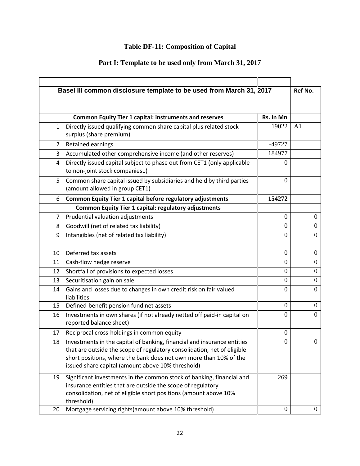## **Table DF-11: Composition of Capital**

## **Part I: Template to be used only from March 31, 2017**

|                | Basel III common disclosure template to be used from March 31, 2017                                                                                                                                                                                                          |                  | Ref No.          |
|----------------|------------------------------------------------------------------------------------------------------------------------------------------------------------------------------------------------------------------------------------------------------------------------------|------------------|------------------|
|                |                                                                                                                                                                                                                                                                              |                  |                  |
|                | <b>Common Equity Tier 1 capital: instruments and reserves</b>                                                                                                                                                                                                                | Rs. in Mn        |                  |
| 1              | Directly issued qualifying common share capital plus related stock<br>surplus (share premium)                                                                                                                                                                                | 19022            | A <sub>1</sub>   |
| $\overline{2}$ | Retained earnings                                                                                                                                                                                                                                                            | $-49727$         |                  |
| 3              | Accumulated other comprehensive income (and other reserves)                                                                                                                                                                                                                  | 184977           |                  |
| 4              | Directly issued capital subject to phase out from CET1 (only applicable<br>to non-joint stock companies1)                                                                                                                                                                    | $\theta$         |                  |
| 5              | Common share capital issued by subsidiaries and held by third parties<br>(amount allowed in group CET1)                                                                                                                                                                      | $\theta$         |                  |
| 6              | Common Equity Tier 1 capital before regulatory adjustments                                                                                                                                                                                                                   | 154272           |                  |
|                | Common Equity Tier 1 capital: regulatory adjustments                                                                                                                                                                                                                         |                  |                  |
| $\overline{7}$ | Prudential valuation adjustments                                                                                                                                                                                                                                             | $\overline{0}$   | $\boldsymbol{0}$ |
| 8              | Goodwill (net of related tax liability)                                                                                                                                                                                                                                      | $\theta$         | $\mathbf{0}$     |
| 9              | Intangibles (net of related tax liability)                                                                                                                                                                                                                                   | $\Omega$         | $\theta$         |
|                |                                                                                                                                                                                                                                                                              |                  |                  |
| 10             | Deferred tax assets                                                                                                                                                                                                                                                          | $\boldsymbol{0}$ | $\overline{0}$   |
| 11             | Cash-flow hedge reserve                                                                                                                                                                                                                                                      | $\theta$         | $\overline{0}$   |
| 12             | Shortfall of provisions to expected losses                                                                                                                                                                                                                                   | $\theta$         | $\theta$         |
| 13             | Securitisation gain on sale                                                                                                                                                                                                                                                  | $\overline{0}$   | $\boldsymbol{0}$ |
| 14             | Gains and losses due to changes in own credit risk on fair valued<br>liabilities                                                                                                                                                                                             | $\Omega$         | $\theta$         |
| 15             | Defined-benefit pension fund net assets                                                                                                                                                                                                                                      | $\theta$         | $\Omega$         |
| 16             | Investments in own shares (if not already netted off paid-in capital on<br>reported balance sheet)                                                                                                                                                                           | $\overline{0}$   | $\overline{0}$   |
| 17             | Reciprocal cross-holdings in common equity                                                                                                                                                                                                                                   | $\overline{0}$   |                  |
| 18             | Investments in the capital of banking, financial and insurance entities<br>that are outside the scope of regulatory consolidation, net of eligible<br>short positions, where the bank does not own more than 10% of the<br>issued share capital (amount above 10% threshold) | 0                | <sup>O</sup>     |
| 19             | Significant investments in the common stock of banking, financial and<br>insurance entities that are outside the scope of regulatory<br>consolidation, net of eligible short positions (amount above 10%<br>threshold)                                                       | 269              |                  |
| 20             | Mortgage servicing rights (amount above 10% threshold)                                                                                                                                                                                                                       | $\boldsymbol{0}$ | $\overline{0}$   |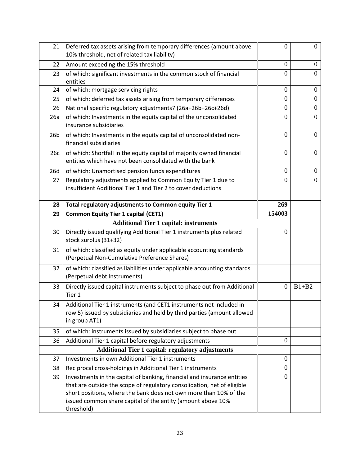| 21              | Deferred tax assets arising from temporary differences (amount above<br>10% threshold, net of related tax liability)                                                                                                                                                                   | $\overline{0}$   | $\boldsymbol{0}$ |
|-----------------|----------------------------------------------------------------------------------------------------------------------------------------------------------------------------------------------------------------------------------------------------------------------------------------|------------------|------------------|
| 22              | Amount exceeding the 15% threshold                                                                                                                                                                                                                                                     |                  | $\mathbf{0}$     |
| 23              | of which: significant investments in the common stock of financial<br>entities                                                                                                                                                                                                         |                  | $\overline{0}$   |
| 24              | of which: mortgage servicing rights                                                                                                                                                                                                                                                    | $\overline{0}$   | $\mathbf{0}$     |
| 25              | of which: deferred tax assets arising from temporary differences                                                                                                                                                                                                                       | $\boldsymbol{0}$ | $\boldsymbol{0}$ |
| 26              | National specific regulatory adjustments7 (26a+26b+26c+26d)                                                                                                                                                                                                                            | $\theta$         | $\boldsymbol{0}$ |
| 26a             | of which: Investments in the equity capital of the unconsolidated<br>insurance subsidiaries                                                                                                                                                                                            | $\Omega$         | $\theta$         |
| 26 <sub>b</sub> | of which: Investments in the equity capital of unconsolidated non-<br>financial subsidiaries                                                                                                                                                                                           | $\boldsymbol{0}$ | $\mathbf{0}$     |
| 26c             | of which: Shortfall in the equity capital of majority owned financial<br>entities which have not been consolidated with the bank                                                                                                                                                       | $\boldsymbol{0}$ | $\mathbf{0}$     |
| 26d             | of which: Unamortised pension funds expenditures                                                                                                                                                                                                                                       | $\overline{0}$   | $\mathbf{0}$     |
| 27              | Regulatory adjustments applied to Common Equity Tier 1 due to<br>insufficient Additional Tier 1 and Tier 2 to cover deductions                                                                                                                                                         | $\Omega$         | $\Omega$         |
| 28              | Total regulatory adjustments to Common equity Tier 1                                                                                                                                                                                                                                   | 269              |                  |
| 29              | <b>Common Equity Tier 1 capital (CET1)</b>                                                                                                                                                                                                                                             | 154003           |                  |
|                 | <b>Additional Tier 1 capital: instruments</b>                                                                                                                                                                                                                                          |                  |                  |
| 30              | Directly issued qualifying Additional Tier 1 instruments plus related<br>stock surplus (31+32)                                                                                                                                                                                         | $\boldsymbol{0}$ |                  |
| 31              | of which: classified as equity under applicable accounting standards<br>(Perpetual Non-Cumulative Preference Shares)                                                                                                                                                                   |                  |                  |
| 32              | of which: classified as liabilities under applicable accounting standards<br>(Perpetual debt Instruments)                                                                                                                                                                              |                  |                  |
| 33              | Directly issued capital instruments subject to phase out from Additional<br>Tier 1                                                                                                                                                                                                     | $\overline{0}$   | $B1+B2$          |
| 34              | Additional Tier 1 instruments (and CET1 instruments not included in<br>row 5) issued by subsidiaries and held by third parties (amount allowed<br>in group AT1)                                                                                                                        |                  |                  |
| 35              | of which: instruments issued by subsidiaries subject to phase out                                                                                                                                                                                                                      |                  |                  |
| 36              | Additional Tier 1 capital before regulatory adjustments<br>$\boldsymbol{0}$                                                                                                                                                                                                            |                  |                  |
|                 | <b>Additional Tier 1 capital: regulatory adjustments</b>                                                                                                                                                                                                                               |                  |                  |
| 37              | Investments in own Additional Tier 1 instruments                                                                                                                                                                                                                                       | $\boldsymbol{0}$ |                  |
| 38              | Reciprocal cross-holdings in Additional Tier 1 instruments                                                                                                                                                                                                                             | $\boldsymbol{0}$ |                  |
| 39              | Investments in the capital of banking, financial and insurance entities<br>that are outside the scope of regulatory consolidation, net of eligible<br>short positions, where the bank does not own more than 10% of the<br>issued common share capital of the entity (amount above 10% | $\overline{0}$   |                  |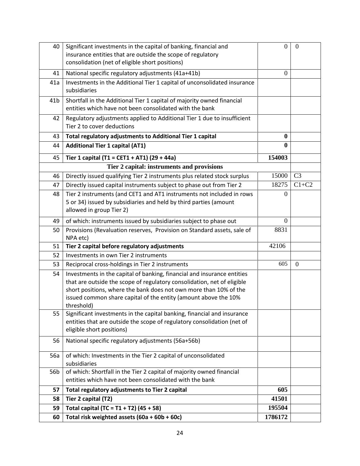| 40              | Significant investments in the capital of banking, financial and<br>insurance entities that are outside the scope of regulatory<br>consolidation (net of eligible short positions)                                                                                                                       | $\Omega$ | $\boldsymbol{0}$ |
|-----------------|----------------------------------------------------------------------------------------------------------------------------------------------------------------------------------------------------------------------------------------------------------------------------------------------------------|----------|------------------|
| 41              | National specific regulatory adjustments (41a+41b)                                                                                                                                                                                                                                                       | $\Omega$ |                  |
| 41a             | Investments in the Additional Tier 1 capital of unconsolidated insurance<br>subsidiaries                                                                                                                                                                                                                 |          |                  |
| 41 <sub>b</sub> | Shortfall in the Additional Tier 1 capital of majority owned financial<br>entities which have not been consolidated with the bank                                                                                                                                                                        |          |                  |
| 42              | Regulatory adjustments applied to Additional Tier 1 due to insufficient<br>Tier 2 to cover deductions                                                                                                                                                                                                    |          |                  |
| 43              | Total regulatory adjustments to Additional Tier 1 capital                                                                                                                                                                                                                                                | $\bf{0}$ |                  |
| 44              | <b>Additional Tier 1 capital (AT1)</b>                                                                                                                                                                                                                                                                   | 0        |                  |
| 45              | Tier 1 capital (T1 = CET1 + AT1) (29 + 44a)                                                                                                                                                                                                                                                              | 154003   |                  |
|                 | Tier 2 capital: instruments and provisions                                                                                                                                                                                                                                                               |          |                  |
| 46              | Directly issued qualifying Tier 2 instruments plus related stock surplus                                                                                                                                                                                                                                 | 15000    | C <sub>3</sub>   |
| 47              | Directly issued capital instruments subject to phase out from Tier 2                                                                                                                                                                                                                                     | 18275    | $C1+C2$          |
| 48              | Tier 2 instruments (and CET1 and AT1 instruments not included in rows<br>5 or 34) issued by subsidiaries and held by third parties (amount<br>allowed in group Tier 2)                                                                                                                                   | 0        |                  |
| 49              | of which: instruments issued by subsidiaries subject to phase out                                                                                                                                                                                                                                        | $\theta$ |                  |
| 50              | Provisions (Revaluation reserves, Provision on Standard assets, sale of<br>NPA etc)                                                                                                                                                                                                                      | 8831     |                  |
| 51              | Tier 2 capital before regulatory adjustments                                                                                                                                                                                                                                                             | 42106    |                  |
| 52              | Investments in own Tier 2 instruments                                                                                                                                                                                                                                                                    |          |                  |
| 53              | Reciprocal cross-holdings in Tier 2 instruments                                                                                                                                                                                                                                                          | 605      | $\overline{0}$   |
| 54              | Investments in the capital of banking, financial and insurance entities<br>that are outside the scope of regulatory consolidation, net of eligible<br>short positions, where the bank does not own more than 10% of the<br>issued common share capital of the entity (amount above the 10%<br>threshold) |          |                  |
| 55              | Significant investments in the capital banking, financial and insurance<br>entities that are outside the scope of regulatory consolidation (net of<br>eligible short positions)                                                                                                                          |          |                  |
| 56              | National specific regulatory adjustments (56a+56b)                                                                                                                                                                                                                                                       |          |                  |
| 56a             | of which: Investments in the Tier 2 capital of unconsolidated<br>subsidiaries                                                                                                                                                                                                                            |          |                  |
| 56 <sub>b</sub> | of which: Shortfall in the Tier 2 capital of majority owned financial<br>entities which have not been consolidated with the bank                                                                                                                                                                         |          |                  |
| 57              | Total regulatory adjustments to Tier 2 capital                                                                                                                                                                                                                                                           | 605      |                  |
| 58              | Tier 2 capital (T2)                                                                                                                                                                                                                                                                                      | 41501    |                  |
| 59              | Total capital (TC = $T1 + T2$ ) (45 + 58)                                                                                                                                                                                                                                                                | 195504   |                  |
| 60              | Total risk weighted assets (60a + 60b + 60c)                                                                                                                                                                                                                                                             | 1786172  |                  |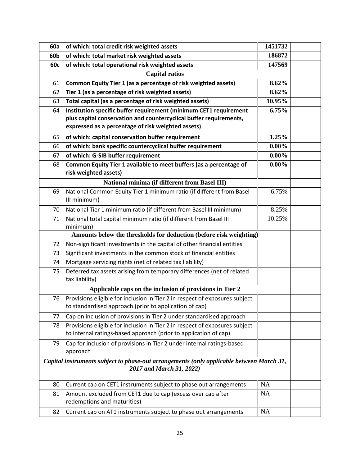| 60a             | of which: total credit risk weighted assets                                                                                                     | 1451732   |  |
|-----------------|-------------------------------------------------------------------------------------------------------------------------------------------------|-----------|--|
| 60 <sub>b</sub> | of which: total market risk weighted assets<br>186872                                                                                           |           |  |
| 60c             | 147569<br>of which: total operational risk weighted assets                                                                                      |           |  |
|                 | <b>Capital ratios</b>                                                                                                                           |           |  |
| 61              | Common Equity Tier 1 (as a percentage of risk weighted assets)                                                                                  | 8.62%     |  |
| 62              | Tier 1 (as a percentage of risk weighted assets)                                                                                                | 8.62%     |  |
| 63              | Total capital (as a percentage of risk weighted assets)                                                                                         | 10.95%    |  |
| 64              | Institution specific buffer requirement (minimum CET1 requirement                                                                               | 6.75%     |  |
|                 | plus capital conservation and countercyclical buffer requirements,                                                                              |           |  |
|                 | expressed as a percentage of risk weighted assets)                                                                                              |           |  |
| 65              | of which: capital conservation buffer requirement                                                                                               | 1.25%     |  |
| 66              | of which: bank specific countercyclical buffer requirement                                                                                      | $0.00\%$  |  |
| 67              | of which: G-SIB buffer requirement                                                                                                              | $0.00\%$  |  |
| 68              | Common Equity Tier 1 available to meet buffers (as a percentage of<br>risk weighted assets)                                                     | $0.00\%$  |  |
|                 | National minima (if different from Basel III)                                                                                                   |           |  |
| 69              | National Common Equity Tier 1 minimum ratio (if different from Basel<br>III minimum)                                                            | 6.75%     |  |
| 70              | National Tier 1 minimum ratio (if different from Basel III minimum)                                                                             | 8.25%     |  |
| 71              | National total capital minimum ratio (if different from Basel III                                                                               | 10.25%    |  |
|                 | minimum)                                                                                                                                        |           |  |
|                 | Amounts below the thresholds for deduction (before risk weighting)                                                                              |           |  |
| 72              | Non-significant investments in the capital of other financial entities                                                                          |           |  |
| 73              | Significant investments in the common stock of financial entities                                                                               |           |  |
| 74              | Mortgage servicing rights (net of related tax liability)                                                                                        |           |  |
| 75              | Deferred tax assets arising from temporary differences (net of related<br>tax liability)                                                        |           |  |
|                 | Applicable caps on the inclusion of provisions in Tier 2                                                                                        |           |  |
| 76              | Provisions eligible for inclusion in Tier 2 in respect of exposures subject<br>to standardised approach (prior to application of cap)           |           |  |
| 77              | Cap on inclusion of provisions in Tier 2 under standardised approach                                                                            |           |  |
| 78              | Provisions eligible for inclusion in Tier 2 in respect of exposures subject<br>to internal ratings-based approach (prior to application of cap) |           |  |
| 79              | Cap for inclusion of provisions in Tier 2 under internal ratings-based<br>approach                                                              |           |  |
|                 | Capital instruments subject to phase-out arrangements (only applicable between March 31,<br>2017 and March 31, 2022)                            |           |  |
| 80              | Current cap on CET1 instruments subject to phase out arrangements                                                                               | NA        |  |
| 81              | Amount excluded from CET1 due to cap (excess over cap after<br>redemptions and maturities)                                                      | <b>NA</b> |  |
| 82              | Current cap on AT1 instruments subject to phase out arrangements                                                                                | NA        |  |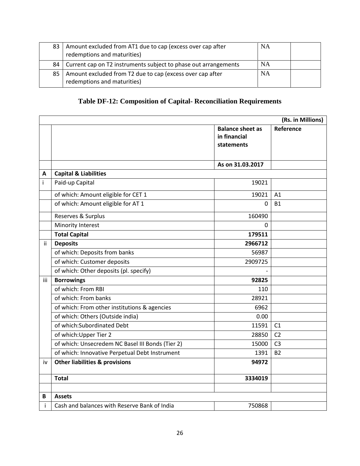| 83 | Amount excluded from AT1 due to cap (excess over cap after<br>redemptions and maturities) | NA        |  |
|----|-------------------------------------------------------------------------------------------|-----------|--|
| 84 | Current cap on T2 instruments subject to phase out arrangements                           | NA        |  |
| 85 | Amount excluded from T2 due to cap (excess over cap after<br>redemptions and maturities)  | <b>NA</b> |  |

## **Table DF-12: Composition of Capital- Reconciliation Requirements**

|     |                                                  |                                                              | (Rs. in Millions) |
|-----|--------------------------------------------------|--------------------------------------------------------------|-------------------|
|     |                                                  | <b>Balance sheet as</b><br>in financial<br><b>statements</b> | Reference         |
|     |                                                  | As on 31.03.2017                                             |                   |
| A   | <b>Capital &amp; Liabilities</b>                 |                                                              |                   |
| i   | Paid-up Capital                                  | 19021                                                        |                   |
|     | of which: Amount eligible for CET 1              | 19021                                                        | A <sub>1</sub>    |
|     | of which: Amount eligible for AT 1               | 0                                                            | <b>B1</b>         |
|     | Reserves & Surplus                               | 160490                                                       |                   |
|     | Minority Interest                                | 0                                                            |                   |
|     | <b>Total Capital</b>                             | 179511                                                       |                   |
| ii. | <b>Deposits</b>                                  | 2966712                                                      |                   |
|     | of which: Deposits from banks                    | 56987                                                        |                   |
|     | of which: Customer deposits                      | 2909725                                                      |                   |
|     | of which: Other deposits (pl. specify)           |                                                              |                   |
| iii | <b>Borrowings</b>                                | 92825                                                        |                   |
|     | of which: From RBI                               | 110                                                          |                   |
|     | of which: From banks                             | 28921                                                        |                   |
|     | of which: From other institutions & agencies     | 6962                                                         |                   |
|     | of which: Others (Outside india)                 | 0.00                                                         |                   |
|     | of which: Subordinated Debt                      | 11591                                                        | C <sub>1</sub>    |
|     | of which: Upper Tier 2                           | 28850                                                        | C <sub>2</sub>    |
|     | of which: Unsecredem NC Basel III Bonds (Tier 2) | 15000                                                        | C <sub>3</sub>    |
|     | of which: Innovative Perpetual Debt Instrument   | 1391                                                         | <b>B2</b>         |
| iv  | <b>Other liabilities &amp; provisions</b>        | 94972                                                        |                   |
|     | <b>Total</b>                                     | 3334019                                                      |                   |
|     |                                                  |                                                              |                   |
| B   | <b>Assets</b>                                    |                                                              |                   |
| i   | Cash and balances with Reserve Bank of India     | 750868                                                       |                   |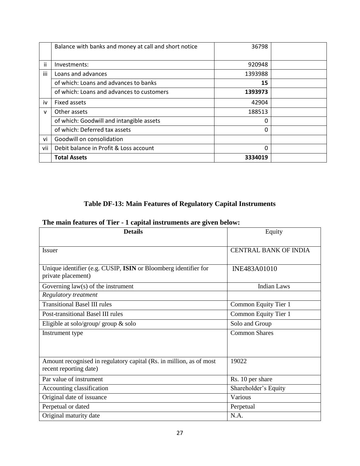|              | Balance with banks and money at call and short notice | 36798   |  |
|--------------|-------------------------------------------------------|---------|--|
|              |                                                       |         |  |
| ii           | Investments:                                          | 920948  |  |
| iii          | Loans and advances                                    | 1393988 |  |
|              | of which: Loans and advances to banks                 | 15      |  |
|              | of which: Loans and advances to customers             | 1393973 |  |
| iv           | Fixed assets                                          | 42904   |  |
| $\mathsf{v}$ | Other assets                                          | 188513  |  |
|              | of which: Goodwill and intangible assets              | 0       |  |
|              | of which: Deferred tax assets                         | O       |  |
| vi           | Goodwill on consolidation                             |         |  |
| vii          | Debit balance in Profit & Loss account                | 0       |  |
|              | <b>Total Assets</b>                                   | 3334019 |  |

## **Table DF-13: Main Features of Regulatory Capital Instruments**

## **The main features of Tier - 1 capital instruments are given below:**

| <b>Details</b>                                                                                | Equity                       |
|-----------------------------------------------------------------------------------------------|------------------------------|
| <i>Issuer</i>                                                                                 | <b>CENTRAL BANK OF INDIA</b> |
| Unique identifier (e.g. CUSIP, ISIN or Bloomberg identifier for<br>private placement)         | INE483A01010                 |
| Governing law(s) of the instrument                                                            | <b>Indian Laws</b>           |
| Regulatory treatment                                                                          |                              |
| <b>Transitional Basel III rules</b>                                                           | Common Equity Tier 1         |
| Post-transitional Basel III rules                                                             | Common Equity Tier 1         |
| Eligible at solo/group/ group & solo                                                          | Solo and Group               |
| Instrument type                                                                               | <b>Common Shares</b>         |
| Amount recognised in regulatory capital (Rs. in million, as of most<br>recent reporting date) | 19022                        |
| Par value of instrument                                                                       | Rs. 10 per share             |
| Accounting classification                                                                     | Shareholder's Equity         |
| Original date of issuance                                                                     | Various                      |
| Perpetual or dated                                                                            | Perpetual                    |
| Original maturity date                                                                        | N.A.                         |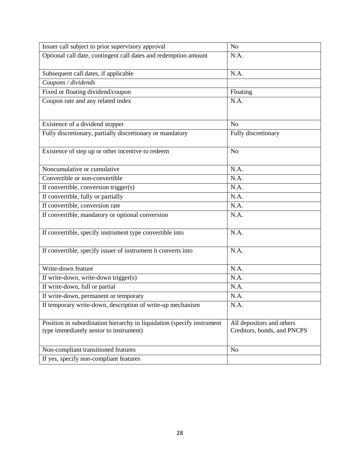| Issuer call subject to prior supervisory approval                                                                | N <sub>o</sub>                                           |
|------------------------------------------------------------------------------------------------------------------|----------------------------------------------------------|
| Optional call date, contingent call dates and redemption amount                                                  | N.A.                                                     |
| Subsequent call dates, if applicable                                                                             | N.A.                                                     |
| Coupons / dividends                                                                                              |                                                          |
| Fixed or floating dividend/coupon                                                                                | Floating                                                 |
| Coupon rate and any related index                                                                                | N.A.                                                     |
| Existence of a dividend stopper                                                                                  | N <sub>o</sub>                                           |
| Fully discretionary, partially discretionary or mandatory                                                        | Fully discretionary                                      |
| Existence of step up or other incentive to redeem                                                                | N <sub>o</sub>                                           |
| Noncumulative or cumulative                                                                                      | N.A.                                                     |
| Convertible or non-convertible                                                                                   | N.A.                                                     |
| If convertible, conversion trigger(s)                                                                            | N.A.                                                     |
| If convertible, fully or partially                                                                               | N.A.                                                     |
| If convertible, conversion rate                                                                                  | N.A.                                                     |
| If convertible, mandatory or optional conversion                                                                 | N.A.                                                     |
| If convertible, specify instrument type convertible into                                                         | N.A.                                                     |
| If convertible, specify issuer of instrument it converts into                                                    | N.A.                                                     |
| Write-down feature                                                                                               | N.A.                                                     |
| If write-down, write-down trigger(s)                                                                             | N.A.                                                     |
| If write-down, full or partial                                                                                   | N.A.                                                     |
| If write-down, permanent or temporary                                                                            | N.A.                                                     |
| If temporary write-down, description of write-up mechanism                                                       | N.A.                                                     |
| Position in subordination hierarchy in liquidation (specify instrument<br>type immediately senior to instrument) | All depositors and others<br>Creditors, bonds, and PNCPS |
| Non-compliant transitioned features                                                                              | N <sub>0</sub>                                           |
| If yes, specify non-compliant features                                                                           |                                                          |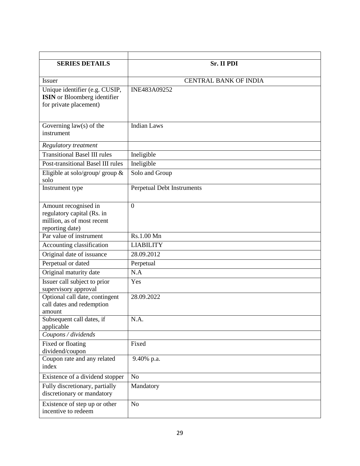| <b>SERIES DETAILS</b>                                                                               | <b>Sr. II PDI</b>            |
|-----------------------------------------------------------------------------------------------------|------------------------------|
| <b>Issuer</b>                                                                                       | <b>CENTRAL BANK OF INDIA</b> |
| Unique identifier (e.g. CUSIP,<br><b>ISIN</b> or Bloomberg identifier<br>for private placement)     | INE483A09252                 |
| Governing $law(s)$ of the<br>instrument                                                             | <b>Indian Laws</b>           |
| Regulatory treatment                                                                                |                              |
| <b>Transitional Basel III rules</b>                                                                 | Ineligible                   |
| Post-transitional Basel III rules                                                                   | Ineligible                   |
| Eligible at solo/group/ group $\&$<br>solo                                                          | Solo and Group               |
| Instrument type                                                                                     | Perpetual Debt Instruments   |
| Amount recognised in<br>regulatory capital (Rs. in<br>million, as of most recent<br>reporting date) | $\theta$                     |
| Par value of instrument                                                                             | Rs.1.00 Mn                   |
| Accounting classification                                                                           | <b>LIABILITY</b>             |
| Original date of issuance                                                                           | 28.09.2012                   |
| Perpetual or dated                                                                                  | Perpetual                    |
| Original maturity date                                                                              | N.A                          |
| Issuer call subject to prior<br>supervisory approval                                                | Yes                          |
| Optional call date, contingent<br>call dates and redemption<br>amount                               | 28.09.2022                   |
| Subsequent call dates, if<br>applicable                                                             | N.A.                         |
| Coupons / dividends                                                                                 |                              |
| Fixed or floating<br>dividend/coupon                                                                | Fixed                        |
| Coupon rate and any related<br>index                                                                | 9.40% p.a.                   |
| Existence of a dividend stopper                                                                     | N <sub>o</sub>               |
| Fully discretionary, partially<br>discretionary or mandatory                                        | Mandatory                    |
| Existence of step up or other<br>incentive to redeem                                                | N <sub>o</sub>               |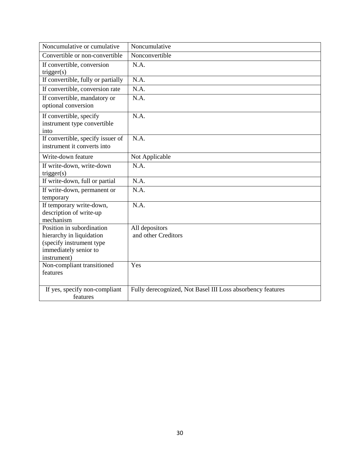| Noncumulative or cumulative                                      | Noncumulative                                              |
|------------------------------------------------------------------|------------------------------------------------------------|
| Convertible or non-convertible                                   | Nonconvertible                                             |
| If convertible, conversion<br>trigger(s)                         | N.A.                                                       |
| If convertible, fully or partially                               | N.A.                                                       |
| If convertible, conversion rate                                  | N.A.                                                       |
| If convertible, mandatory or<br>optional conversion              | N.A.                                                       |
| If convertible, specify<br>instrument type convertible<br>into   | N.A.                                                       |
| If convertible, specify issuer of<br>instrument it converts into | N.A.                                                       |
| Write-down feature                                               | Not Applicable                                             |
| If write-down, write-down<br>trigger(s)                          | N.A.                                                       |
| If write-down, full or partial                                   | N.A.                                                       |
| If write-down, permanent or<br>temporary                         | N.A.                                                       |
| If temporary write-down,<br>description of write-up<br>mechanism | N.A.                                                       |
| Position in subordination                                        | All depositors                                             |
| hierarchy in liquidation                                         | and other Creditors                                        |
| (specify instrument type<br>immediately senior to                |                                                            |
| instrument)                                                      |                                                            |
| Non-compliant transitioned                                       | Yes                                                        |
| features                                                         |                                                            |
| If yes, specify non-compliant<br>features                        | Fully derecognized, Not Basel III Loss absorbency features |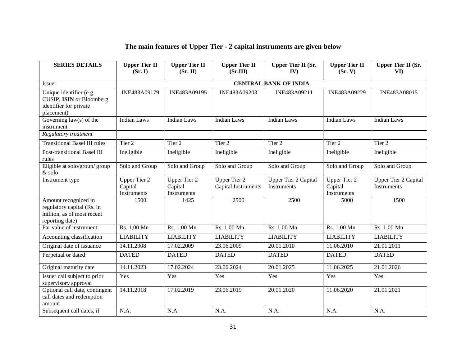## **The main features of Upper Tier - 2 capital instruments are given below**

| <b>SERIES DETAILS</b>                                                                               | <b>Upper Tier II</b><br>(Sr, I)               | <b>Upper Tier II</b><br>(Sr. II)              | <b>Upper Tier II</b><br>(Sr.III)           | <b>Upper Tier II (Sr.</b><br>IV)           | <b>Upper Tier II</b><br>(Sr, V)               | <b>Upper Tier II (Sr.</b><br>VI)           |
|-----------------------------------------------------------------------------------------------------|-----------------------------------------------|-----------------------------------------------|--------------------------------------------|--------------------------------------------|-----------------------------------------------|--------------------------------------------|
| Issuer                                                                                              |                                               |                                               |                                            | <b>CENTRAL BANK OF INDIA</b>               |                                               |                                            |
| Unique identifier (e.g.<br>CUSIP, ISIN or Bloomberg<br>identifier for private<br>placement)         | INE483A09179                                  | INE483A09195                                  | INE483A09203                               | INE483A09211                               | INE483A09229                                  | INE483A08015                               |
| Governing $law(s)$ of the<br>instrument                                                             | <b>Indian Laws</b>                            | <b>Indian Laws</b>                            | <b>Indian Laws</b>                         | <b>Indian Laws</b>                         | <b>Indian Laws</b>                            | <b>Indian Laws</b>                         |
| Regulatory treatment                                                                                |                                               |                                               |                                            |                                            |                                               |                                            |
| <b>Transitional Basel III rules</b>                                                                 | Tier <sub>2</sub>                             | Tier 2                                        | Tier 2                                     | Tier <sub>2</sub>                          | Tier 2                                        | Tier 2                                     |
| Post-transitional Basel III<br>rules                                                                | Ineligible                                    | Ineligible                                    | Ineligible                                 | Ineligible                                 | Ineligible                                    | Ineligible                                 |
| Eligible at solo/group/ group<br>$\&$ solo                                                          | Solo and Group                                | Solo and Group                                | Solo and Group                             | Solo and Group                             | Solo and Group                                | Solo and Group                             |
| Instrument type                                                                                     | <b>Upper Tier 2</b><br>Capital<br>Instruments | <b>Upper Tier 2</b><br>Capital<br>Instruments | <b>Upper Tier 2</b><br>Capital Instruments | <b>Upper Tier 2 Capital</b><br>Instruments | <b>Upper Tier 2</b><br>Capital<br>Instruments | <b>Upper Tier 2 Capital</b><br>Instruments |
| Amount recognized in<br>regulatory capital (Rs. in<br>million, as of most recent<br>reporting date) | 1500                                          | 1425                                          | 2500                                       | 2500                                       | 5000                                          | 1500                                       |
| Par value of instrument                                                                             | Rs. 1.00 Mn                                   | Rs. 1.00 Mn                                   | Rs. 1.00 Mn                                | Rs. 1.00 Mn                                | Rs. 1.00 Mn                                   | Rs. 1.00 Mn                                |
| Accounting classification                                                                           | <b>LIABILITY</b>                              | <b>LIABILITY</b>                              | <b>LIABILITY</b>                           | <b>LIABILITY</b>                           | <b>LIABILITY</b>                              | <b>LIABILITY</b>                           |
| Original date of issuance                                                                           | 14.11.2008                                    | 17.02.2009                                    | 23.06.2009                                 | 20.01.2010                                 | 11.06.2010                                    | 21.01.2011                                 |
| Perpetual or dated                                                                                  | <b>DATED</b>                                  | <b>DATED</b>                                  | <b>DATED</b>                               | <b>DATED</b>                               | <b>DATED</b>                                  | <b>DATED</b>                               |
| Original maturity date                                                                              | 14.11.2023                                    | 17.02.2024                                    | 23.06.2024                                 | 20.01.2025                                 | 11.06.2025                                    | 21.01.2026                                 |
| Issuer call subject to prior<br>supervisory approval                                                | Yes                                           | Yes                                           | Yes                                        | Yes                                        | Yes                                           | Yes                                        |
| Optional call date, contingent<br>call dates and redemption<br>amount                               | 14.11.2018                                    | 17.02.2019                                    | 23.06.2019                                 | 20.01.2020                                 | 11.06.2020                                    | 21.01.2021                                 |
| Subsequent call dates, if                                                                           | N.A.                                          | N.A.                                          | N.A.                                       | N.A.                                       | N.A.                                          | N.A.                                       |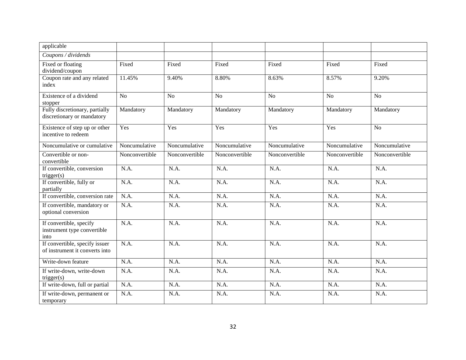| applicable                                                       |                |                |                |                |                |                |
|------------------------------------------------------------------|----------------|----------------|----------------|----------------|----------------|----------------|
| Coupons / dividends                                              |                |                |                |                |                |                |
| Fixed or floating<br>dividend/coupon                             | Fixed          | Fixed          | Fixed          | Fixed          | Fixed          | Fixed          |
| Coupon rate and any related<br>index                             | 11.45%         | 9.40%          | 8.80%          | 8.63%          | 8.57%          | 9.20%          |
| Existence of a dividend<br>stopper                               | N <sub>o</sub> | N <sub>o</sub> | N <sub>o</sub> | No             | N <sub>o</sub> | N <sub>o</sub> |
| Fully discretionary, partially<br>discretionary or mandatory     | Mandatory      | Mandatory      | Mandatory      | Mandatory      | Mandatory      | Mandatory      |
| Existence of step up or other<br>incentive to redeem             | Yes            | Yes            | Yes            | Yes            | Yes            | N <sub>o</sub> |
| Noncumulative or cumulative                                      | Noncumulative  | Noncumulative  | Noncumulative  | Noncumulative  | Noncumulative  | Noncumulative  |
| Convertible or non-<br>convertible                               | Nonconvertible | Nonconvertible | Nonconvertible | Nonconvertible | Nonconvertible | Nonconvertible |
| If convertible, conversion<br>trigger(s)                         | N.A.           | N.A.           | N.A.           | N.A.           | N.A.           | N.A.           |
| If convertible, fully or<br>partially                            | N.A.           | N.A.           | N.A.           | N.A.           | N.A.           | N.A.           |
| If convertible, conversion rate                                  | N.A.           | N.A.           | N.A.           | N.A.           | N.A.           | N.A.           |
| If convertible, mandatory or<br>optional conversion              | N.A.           | N.A.           | N.A.           | N.A.           | N.A.           | N.A.           |
| If convertible, specify<br>instrument type convertible<br>into   | N.A.           | N.A.           | N.A.           | N.A.           | N.A.           | N.A.           |
| If convertible, specify issuer<br>of instrument it converts into | N.A.           | N.A.           | N.A.           | N.A.           | N.A.           | N.A.           |
| Write-down feature                                               | N.A.           | N.A.           | N.A.           | N.A.           | N.A.           | N.A.           |
| If write-down, write-down<br>trigger(s)                          | N.A.           | N.A.           | N.A.           | N.A.           | N.A.           | N.A.           |
| If write-down, full or partial                                   | N.A.           | N.A.           | N.A.           | N.A.           | N.A.           | N.A.           |
| If write-down, permanent or<br>temporary                         | N.A.           | N.A.           | N.A.           | N.A.           | N.A.           | N.A.           |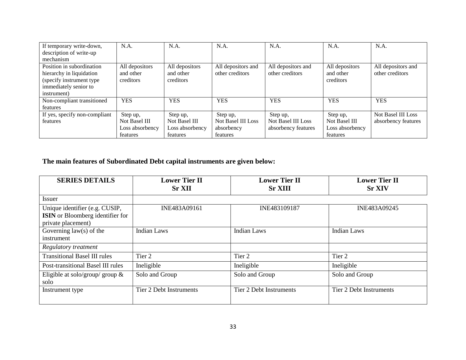| If temporary write-down,      | N.A.            | N.A.            | N.A.                      | N.A.                      | N.A.            | N.A.                      |
|-------------------------------|-----------------|-----------------|---------------------------|---------------------------|-----------------|---------------------------|
| description of write-up       |                 |                 |                           |                           |                 |                           |
| mechanism                     |                 |                 |                           |                           |                 |                           |
| Position in subordination     | All depositors  | All depositors  | All depositors and        | All depositors and        | All depositors  | All depositors and        |
| hierarchy in liquidation      | and other       | and other       | other creditors           | other creditors           | and other       | other creditors           |
| (specify instrument type)     | creditors       | creditors       |                           |                           | creditors       |                           |
| immediately senior to         |                 |                 |                           |                           |                 |                           |
| instrument)                   |                 |                 |                           |                           |                 |                           |
| Non-compliant transitioned    | <b>YES</b>      | <b>YES</b>      | <b>YES</b>                | <b>YES</b>                | <b>YES</b>      | <b>YES</b>                |
| features                      |                 |                 |                           |                           |                 |                           |
| If yes, specify non-compliant | Step up,        | Step up,        | Step up,                  | Step up,                  | Step up,        | <b>Not Basel III Loss</b> |
| features                      | Not Basel III   | Not Basel III   | <b>Not Basel III Loss</b> | <b>Not Basel III Loss</b> | Not Basel III   | absorbency features       |
|                               | Loss absorbency | Loss absorbency | absorbency                | absorbency features       | Loss absorbency |                           |
|                               | features        | features        | features                  |                           | features        |                           |

## **The main features of Subordinated Debt capital instruments are given below:**

| <b>SERIES DETAILS</b>                                                                           | <b>Lower Tier II</b><br><b>Sr XII</b> | <b>Lower Tier II</b><br><b>Sr XIII</b> | <b>Lower Tier II</b><br><b>Sr XIV</b> |
|-------------------------------------------------------------------------------------------------|---------------------------------------|----------------------------------------|---------------------------------------|
| Issuer                                                                                          |                                       |                                        |                                       |
| Unique identifier (e.g. CUSIP,<br><b>ISIN</b> or Bloomberg identifier for<br>private placement) | INE483A09161                          | INE483109187                           | INE483A09245                          |
| Governing $law(s)$ of the<br>instrument                                                         | <b>Indian Laws</b>                    | <b>Indian Laws</b>                     | <b>Indian Laws</b>                    |
| Regulatory treatment                                                                            |                                       |                                        |                                       |
| <b>Transitional Basel III rules</b>                                                             | Tier 2                                | Tier 2                                 | Tier 2                                |
| Post-transitional Basel III rules                                                               | Ineligible                            | Ineligible                             | Ineligible                            |
| Eligible at solo/group/ group $\&$<br>solo                                                      | Solo and Group                        | Solo and Group                         | Solo and Group                        |
| Instrument type                                                                                 | Tier 2 Debt Instruments               | Tier 2 Debt Instruments                | <b>Tier 2 Debt Instruments</b>        |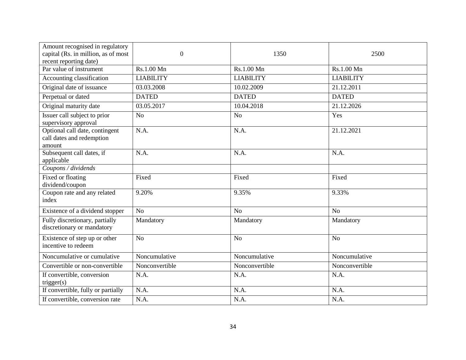| Amount recognised in regulatory<br>capital (Rs. in million, as of most<br>recent reporting date) | $\overline{0}$   | 1350             | 2500             |
|--------------------------------------------------------------------------------------------------|------------------|------------------|------------------|
| Par value of instrument                                                                          | Rs.1.00 Mn       | Rs.1.00 Mn       | Rs.1.00 Mn       |
| Accounting classification                                                                        | <b>LIABILITY</b> | <b>LIABILITY</b> | <b>LIABILITY</b> |
| Original date of issuance                                                                        | 03.03.2008       | 10.02.2009       | 21.12.2011       |
| Perpetual or dated                                                                               | <b>DATED</b>     | <b>DATED</b>     | <b>DATED</b>     |
| Original maturity date                                                                           | 03.05.2017       | 10.04.2018       | 21.12.2026       |
| Issuer call subject to prior<br>supervisory approval                                             | N <sub>o</sub>   | N <sub>o</sub>   | Yes              |
| Optional call date, contingent<br>call dates and redemption<br>amount                            | N.A.             | N.A.             | 21.12.2021       |
| Subsequent call dates, if<br>applicable                                                          | N.A.             | N.A.             | N.A.             |
| Coupons / dividends                                                                              |                  |                  |                  |
| Fixed or floating<br>dividend/coupon                                                             | Fixed            | Fixed            | Fixed            |
| Coupon rate and any related<br>index                                                             | 9.20%            | 9.35%            | 9.33%            |
| Existence of a dividend stopper                                                                  | No               | N <sub>o</sub>   | N <sub>o</sub>   |
| Fully discretionary, partially<br>discretionary or mandatory                                     | Mandatory        | Mandatory        | Mandatory        |
| Existence of step up or other<br>incentive to redeem                                             | No               | N <sub>o</sub>   | N <sub>o</sub>   |
| Noncumulative or cumulative                                                                      | Noncumulative    | Noncumulative    | Noncumulative    |
| Convertible or non-convertible                                                                   | Nonconvertible   | Nonconvertible   | Nonconvertible   |
| If convertible, conversion<br>trigger(s)                                                         | N.A.             | N.A.             | N.A.             |
| If convertible, fully or partially                                                               | N.A.             | N.A.             | N.A.             |
| If convertible, conversion rate                                                                  | N.A.             | N.A.             | N.A.             |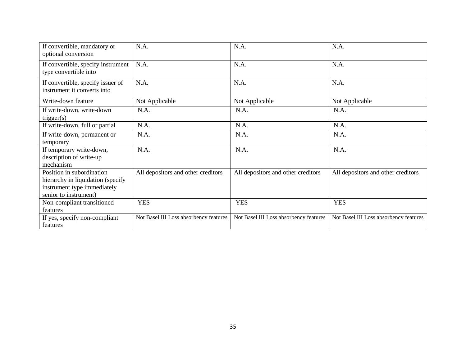| If convertible, mandatory or<br>optional conversion                                                                    | N.A.                                   | N.A.                                   | N.A.                                   |
|------------------------------------------------------------------------------------------------------------------------|----------------------------------------|----------------------------------------|----------------------------------------|
| If convertible, specify instrument<br>type convertible into                                                            | N.A.                                   | N.A.                                   | N.A.                                   |
| If convertible, specify issuer of<br>instrument it converts into                                                       | N.A.                                   | N.A.                                   | N.A.                                   |
| Write-down feature                                                                                                     | Not Applicable                         | Not Applicable                         | Not Applicable                         |
| If write-down, write-down<br>trigger(s)                                                                                | N.A.                                   | N.A.                                   | N.A.                                   |
| If write-down, full or partial                                                                                         | N.A.                                   | N.A.                                   | N.A.                                   |
| If write-down, permanent or<br>temporary                                                                               | N.A.                                   | N.A.                                   | N.A.                                   |
| If temporary write-down,<br>description of write-up<br>mechanism                                                       | N.A.                                   | N.A.                                   | N.A.                                   |
| Position in subordination<br>hierarchy in liquidation (specify<br>instrument type immediately<br>senior to instrument) | All depositors and other creditors     | All depositors and other creditors     | All depositors and other creditors     |
| Non-compliant transitioned<br>features                                                                                 | <b>YES</b>                             | <b>YES</b>                             | <b>YES</b>                             |
| If yes, specify non-compliant<br>features                                                                              | Not Basel III Loss absorbency features | Not Basel III Loss absorbency features | Not Basel III Loss absorbency features |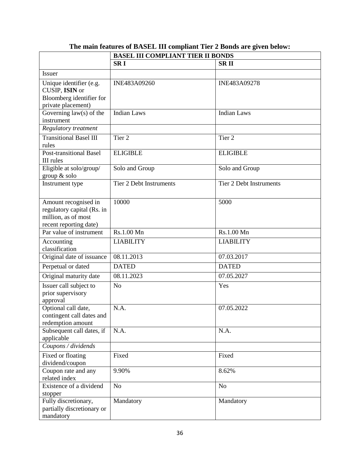|                                                                                                     | <b>BASEL III COMPLIANT TIER II BONDS</b> |                                |  |
|-----------------------------------------------------------------------------------------------------|------------------------------------------|--------------------------------|--|
|                                                                                                     | <b>SRI</b>                               | <b>SRII</b>                    |  |
| <b>Issuer</b>                                                                                       |                                          |                                |  |
| Unique identifier (e.g.<br>CUSIP, ISIN or<br>Bloomberg identifier for<br>private placement)         | INE483A09260                             | INE483A09278                   |  |
| Governing $law(s)$ of the<br>instrument                                                             | <b>Indian Laws</b>                       | Indian Laws                    |  |
| Regulatory treatment                                                                                |                                          |                                |  |
| <b>Transitional Basel III</b><br>rules                                                              | Tier <sub>2</sub>                        | Tier <sub>2</sub>              |  |
| <b>Post-transitional Basel</b><br>III rules                                                         | <b>ELIGIBLE</b>                          | <b>ELIGIBLE</b>                |  |
| Eligible at solo/group/<br>group & solo                                                             | Solo and Group                           | Solo and Group                 |  |
| Instrument type                                                                                     | <b>Tier 2 Debt Instruments</b>           | <b>Tier 2 Debt Instruments</b> |  |
| Amount recognised in<br>regulatory capital (Rs. in<br>million, as of most<br>recent reporting date) | 10000                                    | 5000                           |  |
| Par value of instrument                                                                             | Rs.1.00 Mn                               | Rs.1.00 Mn                     |  |
| Accounting<br>classification                                                                        | <b>LIABILITY</b>                         | <b>LIABILITY</b>               |  |
| Original date of issuance                                                                           | 08.11.2013                               | 07.03.2017                     |  |
| Perpetual or dated                                                                                  | <b>DATED</b>                             | <b>DATED</b>                   |  |
| Original maturity date                                                                              | 08.11.2023                               | 07.05.2027                     |  |
| Issuer call subject to<br>prior supervisory<br>approval                                             | N <sub>o</sub>                           | Yes                            |  |
| Optional call date,<br>contingent call dates and<br>redemption amount                               | N.A.                                     | 07.05.2022                     |  |
| Subsequent call dates, if<br>applicable                                                             | N.A.                                     | N.A.                           |  |
| Coupons / dividends                                                                                 |                                          |                                |  |
| Fixed or floating<br>dividend/coupon                                                                | Fixed                                    | Fixed                          |  |
| Coupon rate and any<br>related index                                                                | 9.90%                                    | 8.62%                          |  |
| Existence of a dividend<br>stopper                                                                  | N <sub>o</sub>                           | N <sub>o</sub>                 |  |
| Fully discretionary,<br>partially discretionary or<br>mandatory                                     | Mandatory                                | Mandatory                      |  |

## **The main features of BASEL III compliant Tier 2 Bonds are given below:**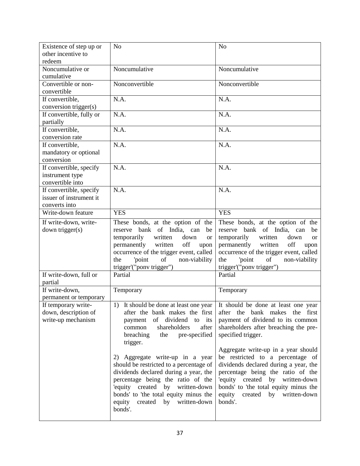| Existence of step up or            | N <sub>o</sub>                                                           | N <sub>o</sub>                                                             |
|------------------------------------|--------------------------------------------------------------------------|----------------------------------------------------------------------------|
| other incentive to                 |                                                                          |                                                                            |
| redeem                             |                                                                          |                                                                            |
| Noncumulative or                   | Noncumulative                                                            | Noncumulative                                                              |
| cumulative                         |                                                                          | Nonconvertible                                                             |
| Convertible or non-<br>convertible | Nonconvertible                                                           |                                                                            |
| If convertible,                    | N.A.                                                                     | N.A.                                                                       |
| conversion trigger(s)              |                                                                          |                                                                            |
| If convertible, fully or           | N.A.                                                                     | N.A.                                                                       |
| partially                          |                                                                          |                                                                            |
| If convertible,                    | N.A.                                                                     | N.A.                                                                       |
| conversion rate                    |                                                                          |                                                                            |
| If convertible,                    | N.A.                                                                     | N.A.                                                                       |
| mandatory or optional              |                                                                          |                                                                            |
| conversion                         |                                                                          |                                                                            |
| If convertible, specify            | N.A.                                                                     | N.A.                                                                       |
| instrument type                    |                                                                          |                                                                            |
| convertible into                   |                                                                          |                                                                            |
| If convertible, specify            | N.A.                                                                     | N.A.                                                                       |
| issuer of instrument it            |                                                                          |                                                                            |
| converts into                      |                                                                          |                                                                            |
| Write-down feature                 | <b>YES</b>                                                               | <b>YES</b>                                                                 |
| If write-down, write-              | These bonds, at the option of the                                        | These bonds, at the option of the                                          |
| down trigger(s)                    | bank of India, can<br>reserve<br>be                                      | reserve bank of India, can<br>be                                           |
|                                    | temporarily<br>written<br>down<br><b>or</b>                              | temporarily<br>written<br>down<br><sub>or</sub>                            |
|                                    | permanently written<br>off<br>upon                                       | permanently written<br>off<br>upon                                         |
|                                    | occurrence of the trigger event, called                                  | occurrence of the trigger event, called                                    |
|                                    | of non-viability<br>'point<br>the<br>trigger'("ponv trigger")            | of<br>'point<br>non-viability<br>the<br>trigger'("ponv trigger")           |
| If write-down, full or             | Partial                                                                  | Partial                                                                    |
| partial                            |                                                                          |                                                                            |
| If write-down,                     | Temporary                                                                | Temporary                                                                  |
| permanent or temporary             |                                                                          |                                                                            |
| If temporary write-                |                                                                          | 1) It should be done at least one year It should be done at least one year |
| down, description of               | after the bank makes the first                                           | after the bank makes the first                                             |
| write-up mechanism                 | of dividend to its<br>payment                                            | payment of dividend to its common                                          |
|                                    | shareholders<br>after<br>common                                          | shareholders after breaching the pre-                                      |
|                                    | breaching<br>pre-specified<br>the                                        | specified trigger.                                                         |
|                                    | trigger.                                                                 |                                                                            |
|                                    |                                                                          | Aggregate write-up in a year should                                        |
|                                    | 2) Aggregate write-up in a year                                          | be restricted to a percentage of                                           |
|                                    | should be restricted to a percentage of                                  | dividends declared during a year, the                                      |
|                                    | dividends declared during a year, the                                    | percentage being the ratio of the                                          |
|                                    | percentage being the ratio of the                                        | 'equity created by written-down                                            |
|                                    | 'equity created by written-down<br>bonds' to 'the total equity minus the | bonds' to 'the total equity minus the<br>equity<br>created by written-down |
|                                    | equity<br>created by written-down                                        | bonds'.                                                                    |
|                                    | bonds'.                                                                  |                                                                            |
|                                    |                                                                          |                                                                            |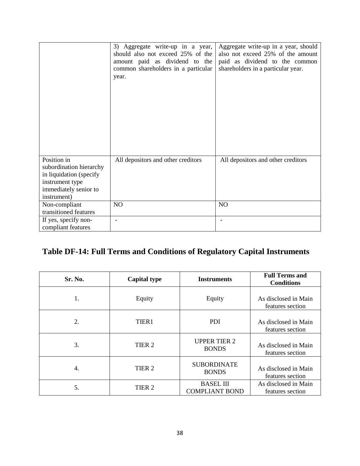|                                                                                                                              | 3) Aggregate write-up in a year,<br>should also not exceed 25% of the<br>amount paid as dividend to the<br>common shareholders in a particular<br>year. | Aggregate write-up in a year, should<br>also not exceed 25% of the amount<br>paid as dividend to the common<br>shareholders in a particular year. |
|------------------------------------------------------------------------------------------------------------------------------|---------------------------------------------------------------------------------------------------------------------------------------------------------|---------------------------------------------------------------------------------------------------------------------------------------------------|
| Position in<br>subordination hierarchy<br>in liquidation (specify<br>instrument type<br>immediately senior to<br>instrument) | All depositors and other creditors                                                                                                                      | All depositors and other creditors                                                                                                                |
| Non-compliant<br>transitioned features                                                                                       | NO                                                                                                                                                      | NO                                                                                                                                                |
| If yes, specify non-<br>compliant features                                                                                   | $\overline{a}$                                                                                                                                          |                                                                                                                                                   |

## **Table DF-14: Full Terms and Conditions of Regulatory Capital Instruments**

| Sr. No. | <b>Capital type</b> | <b>Instruments</b>                        | <b>Full Terms and</b><br><b>Conditions</b> |
|---------|---------------------|-------------------------------------------|--------------------------------------------|
| 1.      | Equity              | Equity                                    | As disclosed in Main<br>features section   |
| 2.      | TIER1               | <b>PDI</b>                                | As disclosed in Main<br>features section   |
| 3.      | TIER <sub>2</sub>   | <b>UPPER TIER 2</b><br><b>BONDS</b>       | As disclosed in Main<br>features section   |
| 4.      | TIER <sub>2</sub>   | <b>SUBORDINATE</b><br><b>BONDS</b>        | As disclosed in Main<br>features section   |
| 5.      | TIER <sub>2</sub>   | <b>BASEL III</b><br><b>COMPLIANT BOND</b> | As disclosed in Main<br>features section   |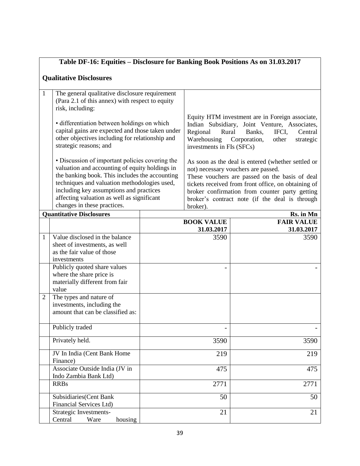|                | Table DF-16: Equities - Disclosure for Banking Book Positions As on 31.03.2017                                                                                               |                                                            |                                                               |                                                                                                                                                                      |  |  |  |  |
|----------------|------------------------------------------------------------------------------------------------------------------------------------------------------------------------------|------------------------------------------------------------|---------------------------------------------------------------|----------------------------------------------------------------------------------------------------------------------------------------------------------------------|--|--|--|--|
|                | <b>Qualitative Disclosures</b>                                                                                                                                               |                                                            |                                                               |                                                                                                                                                                      |  |  |  |  |
| $\mathbf{1}$   | The general qualitative disclosure requirement                                                                                                                               |                                                            |                                                               |                                                                                                                                                                      |  |  |  |  |
|                | (Para 2.1 of this annex) with respect to equity                                                                                                                              |                                                            |                                                               |                                                                                                                                                                      |  |  |  |  |
|                | risk, including:                                                                                                                                                             |                                                            |                                                               |                                                                                                                                                                      |  |  |  |  |
|                | • differentiation between holdings on which<br>capital gains are expected and those taken under<br>other objectives including for relationship and<br>strategic reasons; and |                                                            | Regional<br>Rural<br>Warehousing<br>investments in FIs (SFCs) | Equity HTM investment are in Foreign associate,<br>Indian Subsidiary, Joint Venture, Associates,<br>Central<br>Banks,<br>IFCI,<br>Corporation,<br>other<br>strategic |  |  |  |  |
|                | • Discussion of important policies covering the<br>valuation and accounting of equity holdings in<br>the banking book. This includes the accounting                          |                                                            |                                                               | As soon as the deal is entered (whether settled or<br>not) necessary vouchers are passed.<br>These vouchers are passed on the basis of deal                          |  |  |  |  |
|                | techniques and valuation methodologies used,                                                                                                                                 |                                                            |                                                               | tickets received from front office, on obtaining of                                                                                                                  |  |  |  |  |
|                | including key assumptions and practices<br>affecting valuation as well as significant                                                                                        |                                                            |                                                               | broker confirmation from counter party getting                                                                                                                       |  |  |  |  |
|                | changes in these practices.                                                                                                                                                  | broker's contract note (if the deal is through<br>broker). |                                                               |                                                                                                                                                                      |  |  |  |  |
|                | <b>Quantitative Disclosures</b>                                                                                                                                              |                                                            |                                                               | Rs. in Mn                                                                                                                                                            |  |  |  |  |
|                |                                                                                                                                                                              |                                                            | <b>BOOK VALUE</b>                                             | <b>FAIR VALUE</b>                                                                                                                                                    |  |  |  |  |
|                | Value disclosed in the balance                                                                                                                                               |                                                            | 31.03.2017                                                    | 31.03.2017                                                                                                                                                           |  |  |  |  |
| 1              | sheet of investments, as well<br>as the fair value of those                                                                                                                  |                                                            | 3590                                                          | 3590                                                                                                                                                                 |  |  |  |  |
|                | investments                                                                                                                                                                  |                                                            |                                                               |                                                                                                                                                                      |  |  |  |  |
|                | Publicly quoted share values                                                                                                                                                 |                                                            |                                                               |                                                                                                                                                                      |  |  |  |  |
|                | where the share price is                                                                                                                                                     |                                                            |                                                               |                                                                                                                                                                      |  |  |  |  |
|                | materially different from fair                                                                                                                                               |                                                            |                                                               |                                                                                                                                                                      |  |  |  |  |
|                | value                                                                                                                                                                        |                                                            |                                                               |                                                                                                                                                                      |  |  |  |  |
| $\overline{2}$ | The types and nature of<br>investments, including the                                                                                                                        |                                                            |                                                               |                                                                                                                                                                      |  |  |  |  |
|                | amount that can be classified as:                                                                                                                                            |                                                            |                                                               |                                                                                                                                                                      |  |  |  |  |
|                | Publicly traded                                                                                                                                                              |                                                            |                                                               |                                                                                                                                                                      |  |  |  |  |
|                | Privately held.                                                                                                                                                              |                                                            | 3590                                                          | 3590                                                                                                                                                                 |  |  |  |  |
|                |                                                                                                                                                                              |                                                            |                                                               |                                                                                                                                                                      |  |  |  |  |
|                | JV In India (Cent Bank Home<br>Finance)                                                                                                                                      |                                                            | 219                                                           | 219                                                                                                                                                                  |  |  |  |  |
|                | Associate Outside India (JV in<br>Indo Zambia Bank Ltd)                                                                                                                      |                                                            | 475                                                           | 475                                                                                                                                                                  |  |  |  |  |
|                | <b>RRBs</b>                                                                                                                                                                  |                                                            | 2771                                                          | 2771                                                                                                                                                                 |  |  |  |  |
|                | Subsidiaries (Cent Bank<br>Financial Services Ltd)                                                                                                                           |                                                            | 50                                                            | 50                                                                                                                                                                   |  |  |  |  |
|                | Strategic Investments-<br>Central<br>Ware<br>housing                                                                                                                         |                                                            | 21                                                            | 21                                                                                                                                                                   |  |  |  |  |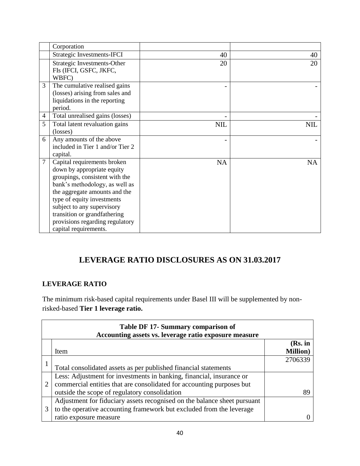|                | Corporation                                                                                                                                                                                                                                                                                                            |            |            |
|----------------|------------------------------------------------------------------------------------------------------------------------------------------------------------------------------------------------------------------------------------------------------------------------------------------------------------------------|------------|------------|
|                | Strategic Investments-IFCI                                                                                                                                                                                                                                                                                             | 40         | 40         |
|                | Strategic Investments-Other<br>FIs (IFCI, GSFC, JKFC,<br>WBFC)                                                                                                                                                                                                                                                         | 20         | 20         |
| 3              | The cumulative realised gains<br>(losses) arising from sales and<br>liquidations in the reporting<br>period.                                                                                                                                                                                                           |            |            |
| 4              | Total unrealised gains (losses)                                                                                                                                                                                                                                                                                        |            |            |
| 5              | Total latent revaluation gains<br>(losses)                                                                                                                                                                                                                                                                             | <b>NIL</b> | <b>NIL</b> |
| 6              | Any amounts of the above<br>included in Tier 1 and/or Tier 2<br>capital.                                                                                                                                                                                                                                               |            |            |
| $\overline{7}$ | Capital requirements broken<br>down by appropriate equity<br>groupings, consistent with the<br>bank's methodology, as well as<br>the aggregate amounts and the<br>type of equity investments<br>subject to any supervisory<br>transition or grandfathering<br>provisions regarding regulatory<br>capital requirements. | <b>NA</b>  | <b>NA</b>  |

## **LEVERAGE RATIO DISCLOSURES AS ON 31.03.2017**

#### **LEVERAGE RATIO**

The minimum risk-based capital requirements under Basel III will be supplemented by nonrisked-based **Tier 1 leverage ratio.** 

| Table DF 17- Summary comparison of<br>Accounting assets vs. leverage ratio exposure measure |                                                                          |                  |  |  |
|---------------------------------------------------------------------------------------------|--------------------------------------------------------------------------|------------------|--|--|
|                                                                                             |                                                                          | (Rs. in          |  |  |
|                                                                                             | Item                                                                     | <b>Million</b> ) |  |  |
|                                                                                             |                                                                          | 2706339          |  |  |
|                                                                                             | Total consolidated assets as per published financial statements          |                  |  |  |
|                                                                                             | Less: Adjustment for investments in banking, financial, insurance or     |                  |  |  |
| 2                                                                                           | commercial entities that are consolidated for accounting purposes but    |                  |  |  |
|                                                                                             | outside the scope of regulatory consolidation                            | 89               |  |  |
|                                                                                             | Adjustment for fiduciary assets recognised on the balance sheet pursuant |                  |  |  |
| 3                                                                                           | to the operative accounting framework but excluded from the leverage     |                  |  |  |
|                                                                                             | ratio exposure measure                                                   |                  |  |  |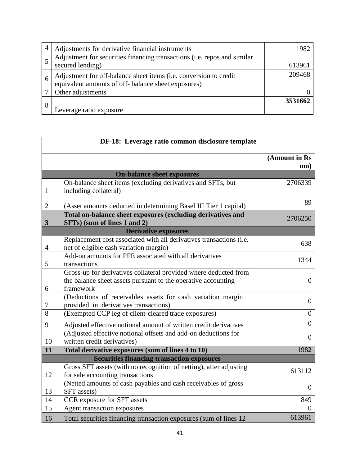|   | Adjustments for derivative financial instruments                                                                     | 1982    |
|---|----------------------------------------------------------------------------------------------------------------------|---------|
|   | Adjustment for securities financing transactions (i.e. repos and similar                                             |         |
|   | secured lending)                                                                                                     | 613961  |
|   | Adjustment for off-balance sheet items (i.e. conversion to credit equivalent amounts of off-balance sheet exposures) | 209468  |
|   | Other adjustments                                                                                                    |         |
| 8 |                                                                                                                      | 3531662 |
|   | Leverage ratio exposure                                                                                              |         |

| DF-18: Leverage ratio common disclosure template |                                                                                                                                                |                      |  |
|--------------------------------------------------|------------------------------------------------------------------------------------------------------------------------------------------------|----------------------|--|
|                                                  |                                                                                                                                                | (Amount in Rs<br>mn) |  |
|                                                  | <b>On-balance sheet exposures</b>                                                                                                              |                      |  |
| $\mathbf{1}$                                     | On-balance sheet items (excluding derivatives and SFTs, but<br>including collateral)                                                           | 2706339              |  |
| $\overline{2}$                                   | (Asset amounts deducted in determining Basel III Tier 1 capital)                                                                               | 89                   |  |
| $\mathbf{3}$                                     | Total on-balance sheet exposures (excluding derivatives and<br>SFTs) (sum of lines 1 and 2)                                                    | 2706250              |  |
|                                                  | <b>Derivative exposures</b>                                                                                                                    |                      |  |
| $\overline{4}$                                   | Replacement cost associated with all derivatives transactions (i.e.<br>net of eligible cash variation margin)                                  | 638                  |  |
| 5                                                | Add-on amounts for PFE associated with all derivatives<br>transactions                                                                         | 1344                 |  |
| 6                                                | Gross-up for derivatives collateral provided where deducted from<br>the balance sheet assets pursuant to the operative accounting<br>framework | $\overline{0}$       |  |
| 7                                                | (Deductions of receivables assets for cash variation margin<br>provided in derivatives transactions)                                           | $\overline{0}$       |  |
| $\overline{8}$                                   | (Exempted CCP leg of client-cleared trade exposures)                                                                                           | $\overline{0}$       |  |
| 9                                                | Adjusted effective notional amount of written credit derivatives                                                                               | $\overline{0}$       |  |
| 10                                               | (Adjusted effective notional offsets and add-on deductions for<br>written credit derivatives)                                                  | $\overline{0}$       |  |
| 11                                               | Total derivative exposures (sum of lines 4 to 10)                                                                                              | 1982                 |  |
|                                                  | <b>Securities financing transaction exposures</b>                                                                                              |                      |  |
| 12                                               | Gross SFT assets (with no recognition of netting), after adjusting<br>for sale accounting transactions                                         | 613112               |  |
| 13                                               | (Netted amounts of cash payables and cash receivables of gross<br>SFT assets)                                                                  | $\overline{0}$       |  |
| 14                                               | CCR exposure for SFT assets                                                                                                                    | 849                  |  |
| 15                                               | Agent transaction exposures                                                                                                                    | 0                    |  |
| 16                                               | Total securities financing transaction exposures (sum of lines 12                                                                              | 613961               |  |